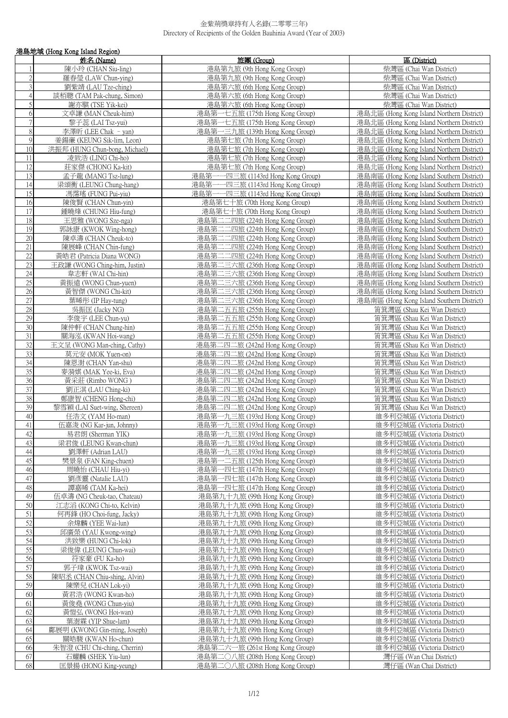|                 | 港島地域 (Hong Kong Island Region)                           |                                                                    |                                                                                        |
|-----------------|----------------------------------------------------------|--------------------------------------------------------------------|----------------------------------------------------------------------------------------|
|                 | 姓名 (Name)                                                | 旅團 (Group)                                                         | 區 (District)                                                                           |
|                 | 陳小玲 (CHAN Siu-ling)                                      | 港島第九旅 (9th Hong Kong Group)                                        | 柴灣區 (Chai Wan District)                                                                |
| $\overline{2}$  | 羅春瑩 (LAW Chun-ying)                                      | 港島第九旅 (9th Hong Kong Group)                                        | 柴灣區 (Chai Wan District)                                                                |
| 3               | 劉紫靖 (LAU Tze-ching)                                      | 港島第六旅 (6th Hong Kong Group)                                        | 柴灣區 (Chai Wan District)                                                                |
| $\sqrt{4}$      | 談栢聰 (TAM Pak-chung, Simon)                               | 港島第六旅 (6th Hong Kong Group)                                        | 柴灣區 (Chai Wan District)                                                                |
| 5               | 謝亦騏 (TSE Yik-kei)                                        | 港島第六旅 (6th Hong Kong Group)                                        | 柴灣區 (Chai Wan District)                                                                |
| 6               | 文卓謙 (MAN Cheuk-him)                                      | 港島第一七五旅 (175th Hong Kong Group)                                    | 港島北區 (Hong Kong Island Northern District)                                              |
| $\overline{7}$  | 黎子蕊 (LAI Tsz-yui)                                        | 港島第一七五旅 (175th Hong Kong Group)                                    | 港島北區 (Hong Kong Island Northern District)                                              |
| $8\,$           | 李澤昕 (LEE Chak - yan)                                     | 港島第一三九旅 (139th Hong Kong Group)                                    | 港島北區 (Hong Kong Island Northern District)                                              |
| 9               | 姜鍚亷 (KEUNG Sik-lim, Leon)                                | 港島第七旅 (7th Hong Kong Group)                                        | 港島北區 (Hong Kong Island Northern District)                                              |
| 10              | 洪振邦 (HUNG Chun-bong, Michael)                            | 港島第七旅 (7th Hong Kong Group)                                        | 港島北區 (Hong Kong Island Northern District)                                              |
| 11              | 凌致浩 (LING Chi-ho)                                        | 港島第七旅 (7th Hong Kong Group)                                        | 港島北區 (Hong Kong Island Northern District)                                              |
| 12              | 莊家傑 (CHONG Ka-kit)                                       | 港島第七旅 (7th Hong Kong Group)                                        | 港島北區 (Hong Kong Island Northern District)                                              |
| 13              | 孟子龍 (MANG Tsz-lung)                                      | 港島第一一四三旅 (1143rd Hong Kong Group)                                  | 港島南區 (Hong Kong Island Southern District)                                              |
| 14              | 梁頌衡 (LEUNG Chung-hang)                                   | 港島第一一四三旅 (1143rd Hong Kong Group)                                  | 港島南區 (Hong Kong Island Southern District)                                              |
| 15              | 馮霈瑤 (FUNG Pui-yiu)                                       | 港島第一一四三旅 (1143rd Hong Kong Group)                                  | 港島南區 (Hong Kong Island Southern District)                                              |
| 16              | 陳俊賢 (CHAN Chun-yin)                                      | 港島第七十旅 (70th Hong Kong Group)                                      | 港島南區 (Hong Kong Island Southern District)                                              |
| 17              | 鍾曉烽 (CHUNG Hiu-fung)                                     | 港島第七十旅 (70th Hong Kong Group)                                      | 港島南區 (Hong Kong Island Southern District)                                              |
| 18              | 王思雅 (WONG Sze-nga)                                       | 港島第二二四旅 (224th Hong Kong Group)                                    | 港島南區 (Hong Kong Island Southern District)                                              |
| 19<br>20        | 郭詠康 (KWOK Wing-hong)                                     | 港島第二二四旅 (224th Hong Kong Group)                                    | 港島南區 (Hong Kong Island Southern District)                                              |
| 21              | 陳卓濤 (CHAN Cheuk-to)<br>陳展峰 (CHAN Chin-fung)              | 港島第二二四旅 (224th Hong Kong Group)<br>港島第二二四旅 (224th Hong Kong Group) | 港島南區 (Hong Kong Island Southern District)<br>港島南區 (Hong Kong Island Southern District) |
| 22              | 黃皓君 (Patricia Diana WONG)                                | 港島第二二四旅 (224th Hong Kong Group)                                    | 港島南區 (Hong Kong Island Southern District)                                              |
| 23              | 王政謙 (WONG Ching-him, Justin)                             | 港島第二三六旅 (236th Hong Kong Group)                                    | 港島南區 (Hong Kong Island Southern District)                                              |
| 24              | 韋志軒 (WAI Chi-hin)                                        | 港島第二三六旅 (236th Hong Kong Group)                                    | 港島南區 (Hong Kong Island Southern District)                                              |
| $\overline{25}$ | 黃振遠 (WONG Chun-yuen)                                     | 港島第二三六旅 (236th Hong Kong Group)                                    | 港島南區 (Hong Kong Island Southern District)                                              |
| 26              | 黃智傑 (WONG Chi-kit)                                       | 港島第二三六旅 (236th Hong Kong Group)                                    | 港島南區 (Hong Kong Island Southern District)                                              |
| $\overline{27}$ | 葉晞彤 (IP Hay-tung)                                        | 港島第二三六旅 (236th Hong Kong Group)                                    | 港島南區 (Hong Kong Island Southern District)                                              |
| 28              | 吳振匡 (Jacky NG)                                           | 港島第二五五旅 (255th Hong Kong Group)                                    | 筲箕灣區 (Shau Kei Wan District)                                                           |
| 29              | 李俊宇 (LEE Chun-yu)                                        | 港島第二五五旅 (255th Hong Kong Group)                                    | 筲箕灣區 (Shau Kei Wan District)                                                           |
| 30              | 陳仲軒 (CHAN Chung-hin)                                     | 港島第二五五旅 (255th Hong Kong Group)                                    | 筲箕灣區 (Shau Kei Wan District)                                                           |
| 31              | 關海泓 (KWAN Hoi-wang)                                      | 港島第二五五旅 (255th Hong Kong Group)                                    | 筲箕灣區 (Shau Kei Wan District)                                                           |
| 32              | 王文呈 (WONG Man-ching, Cathy)                              | 港島第二四二旅 (242nd Hong Kong Group)                                    | 筲箕灣區 (Shau Kei Wan District)                                                           |
| 33              | 莫元安 (MOK Yuen-on)                                        | 港島第二四二旅 (242nd Hong Kong Group)                                    | 筲箕灣區 (Shau Kei Wan District)                                                           |
| 34<br>35        | 陳恩澍 (CHAN Yan-shu)<br>麥漪娸 (MAK Yee-ki, Eva)              | 港島第二四二旅 (242nd Hong Kong Group)<br>港島第二四二旅 (242nd Hong Kong Group) | 筲箕灣區 (Shau Kei Wan District)<br>筲箕灣區 (Shau Kei Wan District)                           |
| 36              | 黃采莊 (Rimbo WONG)                                         | 港島第二四二旅 (242nd Hong Kong Group)                                    | 筲箕灣區 (Shau Kei Wan District)                                                           |
| 37              | 劉正淇 (LAU Ching-ki)                                       | 港島第二四二旅 (242nd Hong Kong Group)                                    | 筲箕灣區 (Shau Kei Wan District)                                                           |
| 38              | 鄭康智 (CHENG Hong-chi)                                     | 港島第二四二旅 (242nd Hong Kong Group)                                    | 筲箕灣區 (Shau Kei Wan District)                                                           |
| 39              | 黎雪穎 (LAI Suet-wing, Shereen)                             | 港島第二四二旅 (242nd Hong Kong Group)                                    | 筲箕灣區 (Shau Kei Wan District)                                                           |
| 40              | 任浩文 (YAM Ho-man)                                         | 港島第一九三旅 (193rd Hong Kong Group)                                    | 維多利亞城區 (Victoria District)                                                             |
| 41              | 伍嘉浚 (NG Kar-jun, Johnny)                                 | 港島第一九三旅 (193rd Hong Kong Group)                                    | 維多利亞城區 (Victoria District)                                                             |
| 42              | 易君朗 (Sherman YIK)                                        | 港島第一九三旅 (193rd Hong Kong Group)                                    | 維多利亞城區 (Victoria District)                                                             |
| 43              | 梁君俊 (LEUNG Kwan-chun)                                    | 港島第一九三旅 (193rd Hong Kong Group)                                    | 維多利亞城區 (Victoria District)                                                             |
| 44              | 劉澤軒 (Adrian LAU)                                         | 港島第一九三旅 (193rd Hong Kong Group)                                    | 維多利亞城區 (Victoria District)                                                             |
| 45              | 樊景泉 (FAN King-chuen)                                     | 港島第一二五旅 (125th Hong Kong Group)                                    | 維多利亞城區 (Victoria District)                                                             |
| 46              | 周曉怡 (CHAU Hiu-yi)                                        | 港島第一四七旅 (147th Hong Kong Group)                                    | 維多利亞城區 (Victoria District)                                                             |
| 47              | 劉彥靈 (Natalie LAU)                                        | 港島第一四七旅 (147th Hong Kong Group)                                    | 維多利亞城區 (Victoria District)                                                             |
| 48<br>49        | 譚嘉晞 (TAM Ka-hei)                                         | 港島第一四七旅 (147th Hong Kong Group)                                    | 維多利亞城區 (Victoria District)<br>維多利亞城區 (Victoria District)                               |
| 50              | 伍卓濤 (NG Cheuk-tao, Chateau)<br>江志滔 (KONG Chi-to, Kelvin) | 港島第九十九旅 (99th Hong Kong Group)<br>港島第九十九旅 (99th Hong Kong Group)   | 維多利亞城區 (Victoria District)                                                             |
| 51              | 何再鋒 (HO Choi-fung, Jacky)                                | 港島第九十九旅 (99th Hong Kong Group)                                     | 維多利亞城區 (Victoria District)                                                             |
| 52              | 余煒麟 (YEE Wai-lun)                                        | 港島第九十九旅 (99th Hong Kong Group)                                     | 維多利亞城區 (Victoria District)                                                             |
| 53              | 邱廣榮 (YAU Kwong-wing)                                     | 港島第九十九旅 (99th Hong Kong Group)                                     | 維多利亞城區 (Victoria District)                                                             |
| 54              | 洪致樂 (HUNG Chi-lok)                                       | 港島第九十九旅 (99th Hong Kong Group)                                     | 維多利亞城區 (Victoria District)                                                             |
| 55              | 梁俊偉 (LEUNG Chun-wai)                                     | 港島第九十九旅 (99th Hong Kong Group)                                     | 維多利亞城區 (Victoria District)                                                             |
| 56              | 符家豪 (FU Ka-ho)                                           | 港島第九十九旅 (99th Hong Kong Group)                                     | 維多利亞城區 (Victoria District)                                                             |
| 57              | 郭子瑋 (KWOK Tsz-wai)                                       | 港島第九十九旅 (99th Hong Kong Group)                                     | 維多利亞城區 (Victoria District)                                                             |
| 58              | 陳昭丞 (CHAN Chiu-shing, Alvin)                             | 港島第九十九旅 (99th Hong Kong Group)                                     | 維多利亞城區 (Victoria District)                                                             |
| 59              | 陳樂兒 (CHAN Lok-yi)                                        | 港島第九十九旅 (99th Hong Kong Group)                                     | 維多利亞城區 (Victoria District)                                                             |
| 60              | 黃君浩 (WONG Kwan-ho)                                       | 港島第九十九旅 (99th Hong Kong Group)                                     | 維多利亞城區 (Victoria District)                                                             |
| 61              | 黃俊堯 (WONG Chun-yiu)                                      | 港島第九十九旅 (99th Hong Kong Group)                                     | 維多利亞城區 (Victoria District)                                                             |
| 62              | 黃愷弘 (WONG Hoi-wan)                                       | 港島第九十九旅 (99th Hong Kong Group)                                     | 維多利亞城區 (Victoria District)                                                             |
| 63<br>64        | 葉澍霖 (YIP Shue-lam)<br>鄺展明 (KWONG Gin-ming, Joseph)       | 港島第九十九旅 (99th Hong Kong Group)<br>港島第九十九旅 (99th Hong Kong Group)   | 維多利亞城區 (Victoria District)<br>維多利亞城區 (Victoria District)                               |
| 65              | 關皓駿 (KWAN Ho-chun)                                       | 港島第九十九旅 (99th Hong Kong Group)                                     | 維多利亞城區 (Victoria District)                                                             |
| 66              | 朱智澄 (CHU Chi-ching, Cherrin)                             | 港島第二六一旅 (261st Hong Kong Group)                                    | 維多利亞城區 (Victoria District)                                                             |
| 67              | 石耀麟 (SHEK Yiu-lun)                                       | 港島第二〇八旅 (208th Hong Kong Group)                                    | 灣仔區 (Wan Chai District)                                                                |
| 68              | 匡景揚 (HONG King-yeung)                                    | 港島第二〇八旅 (208th Hong Kong Group)                                    | 灣仔區 (Wan Chai District)                                                                |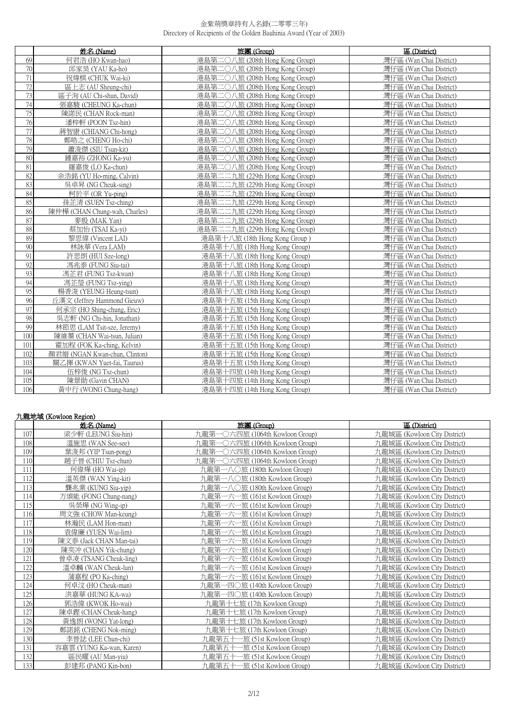|        | 姓名 (Name)                     | 旅團 (Group)                      | 區 (District)            |
|--------|-------------------------------|---------------------------------|-------------------------|
| 69     | 何君浩 (HO Kwan-hao)             | 港島第二〇八旅 (208th Hong Kong Group) | 灣仔區 (Wan Chai District) |
| 70     | 邱家昊 (YAU Ka-ho)               | 港島第二〇八旅 (208th Hong Kong Group) | 灣仔區 (Wan Chai District) |
| 71     | 祝煒棋 (CHUK Wai-ki)             | 港島第二〇八旅 (208th Hong Kong Group) | 灣仔區 (Wan Chai District) |
| 72     | 區上志 (AU Sheung-chi)           | 港島第二〇八旅 (208th Hong Kong Group) | 灣仔區 (Wan Chai District) |
| 73     | 區子洵 (AU Chi-shun, David)      | 港島第二〇八旅 (208th Hong Kong Group) | 灣仔區 (Wan Chai District) |
| 74     | 張嘉駿 (CHEUNG Ka-chun)          | 港島第二〇八旅 (208th Hong Kong Group) | 灣仔區 (Wan Chai District) |
| 75     | 陳諾民 (CHAN Rock-man)           | 港島第二〇八旅 (208th Hong Kong Group) | 灣仔區 (Wan Chai District) |
| 76     | 潘梓軒 (POON Tsz-hin)            | 港島第二〇八旅 (208th Hong Kong Group) | 灣仔區 (Wan Chai District) |
| $77\,$ | 蔣智康 (CHIANG Chi-hong)         | 港島第二〇八旅 (208th Hong Kong Group) | 灣仔區 (Wan Chai District) |
| 78     | 鄭皓之 (CHENG Ho-chi)            | 港島第二○八旅 (208th Hong Kong Group) | 灣仔區 (Wan Chai District) |
| 79     | 蕭浚傑 (SIU Tsun-kit)            | 港島第二〇八旅 (208th Hong Kong Group) | 灣仔區 (Wan Chai District) |
| 80     | 鍾嘉裕 (ZHONG Ka-yu)             | 港島第二〇八旅 (208th Hong Kong Group) | 灣仔區 (Wan Chai District) |
| 81     | 羅嘉俊 (LO Ka-chun)              | 港島第二〇八旅 (208th Hong Kong Group) | 灣仔區 (Wan Chai District) |
| 82     | 余浩銘 (YU Ho-ming, Calvin)      | 港島第二二九旅 (229th Hong Kong Group) | 灣仔區 (Wan Chai District) |
| 83     | 吳卓昇 (NG Cheuk-sing)           | 港島第二二九旅 (229th Hong Kong Group) | 灣仔區 (Wan Chai District) |
| 84     | 柯於平 (OR Yu-ping)              | 港島第二二九旅 (229th Hong Kong Group) | 灣仔區 (Wan Chai District) |
| 85     | 孫芷清 (SUEN Tsz-ching)          | 港島第二二九旅 (229th Hong Kong Group) | 灣仔區 (Wan Chai District) |
| 86     | 陳仲樺 (CHAN Chung-wah, Charles) | 港島第二二九旅 (229th Hong Kong Group) | 灣仔區 (Wan Chai District) |
| 87     | 麥殷 (MAK Yan)                  | 港島第二二九旅 (229th Hong Kong Group) | 灣仔區 (Wan Chai District) |
| 88     | 蔡加怡 (TSAI Ka-yi)              | 港島第二二九旅 (229th Hong Kong Group) | 灣仔區 (Wan Chai District) |
| 89     | 黎思偉 (Vincent LAI)             | 港島第十八旅 (18th Hong Kong Group)   | 灣仔區 (Wan Chai District) |
| 90     | 林詠華 (Vera LAM)                | 港島第十八旅 (18th Hong Kong Group)   | 灣仔區 (Wan Chai District) |
| 91     | 許思朗 (HUI Sze-long)            | 港島第十八旅 (18th Hong Kong Group)   | 灣仔區 (Wan Chai District) |
| 92     | 馮兆泰 (FUNG Siu-tai)            | 港島第十八旅 (18th Hong Kong Group)   | 灣仔區 (Wan Chai District) |
| 93     | 馮芷君 (FUNG Tsz-kwan)           | 港島第十八旅 (18th Hong Kong Group)   | 灣仔區 (Wan Chai District) |
| 94     | 馮芷瑩 (FUNG Tsz-ving)           | 港島第十八旅 (18th Hong Kong Group)   | 灣仔區 (Wan Chai District) |
| 95     | 楊香浚 (YEUNG Heung-tsun)        | 港島第十八旅 (18th Hong Kong Group)   | 灣仔區 (Wan Chai District) |
| 96     | 丘漢文 (Jeffrey Hammond Gieuw)   | 港島第十五旅 (15th Hong Kong Group)   | 灣仔區 (Wan Chai District) |
| 97     | 何承宗 (HO Shing-chung, Eric)    | 港島第十五旅 (15th Hong Kong Group)   | 灣仔區 (Wan Chai District) |
| 98     | 吳志軒 (NG Chi-hin, Jonathan)    | 港島第十五旅 (15th Hong Kong Group)   | 灣仔區 (Wan Chai District) |
| 99     | 林節思 (LAM Tsit-sze, Jeremy)    | 港島第十五旅 (15th Hong Kong Group)   | 灣仔區 (Wan Chai District) |
| 100    | 陳維蓁 (CHAN Wai-tsun, Julian)   | 港島第十五旅 (15th Hong Kong Group)   | 灣仔區 (Wan Chai District) |
| 101    | 霍加程 (FOK Ka-ching, Kelvin)    | 港島第十五旅 (15th Hong Kong Group)   | 灣仔區 (Wan Chai District) |
| 102    | 顏君縉 (NGAN Kwan-chun, Clinton) | 港島第十五旅 (15th Hong Kong Group)   | 灣仔區 (Wan Chai District) |
| 103    | 關乙揮 (KWAN Yuet-fai, Taurus)   | 港島第十五旅 (15th Hong Kong Group)   | 灣仔區 (Wan Chai District) |
| 104    | 伍梓俊 (NG Tsz-chun)             | 港島第十四旅 (14th Hong Kong Group)   | 灣仔區 (Wan Chai District) |
| 105    | 陳景勛 (Gavin CHAN)              | 港島第十四旅 (14th Hong Kong Group)   | 灣仔區 (Wan Chai District) |
| 106    | 黃中行 (WONG Chung-hang)         | 港島第十四旅 (14th Hong Kong Group)   | 灣仔區 (Wan Chai District) |

# 九龍地域 (Kowloon Region)

|     | 姓名(Name)                 | 旅團 (Group)                          | 區 (District)                 |
|-----|--------------------------|-------------------------------------|------------------------------|
| 107 | 梁少軒 (LEUNG Siu-hin)      | 九龍第一<br>○六四旅 (1064th Kowloon Group) | 九龍城區 (Kowloon City District) |
| 108 | 溫施思 (WAN See-see)        | 九龍第·<br>○六四旅 (1064th Kowloon Group) | 九龍城區 (Kowloon City District) |
| 109 | 葉浚邦 (YIP Tsun-pong)      | 九龍第<br>○六四旅 (1064th Kowloon Group)  | 九龍城區 (Kowloon City District) |
| 110 | 趙子晉 (CHIU Tsz-chun)      | 九龍第一〇六四旅 (1064th Kowloon Group)     | 九龍城區 (Kowloon City District) |
| 111 | 何偉燁 (HO Wai-ip)          | 九龍第一八〇旅 (180th Kowloon Group)       | 九龍城區 (Kowloon City District) |
| 112 | 溫英傑 (WAN Ying-kit)       | 九龍第一八〇旅 (180th Kowloon Group)       | 九龍城區 (Kowloon City District) |
| 113 | 龔兆業 (KUNG Siu-yip)       | 九龍第一八〇旅 (180th Kowloon Group)       | 九龍城區 (Kowloon City District) |
| 114 | 方頌能 (FONG Chung-nang)    | 九龍第一六一旅 (161st Kowloon Group)       | 九龍城區 (Kowloon City District) |
| 115 | 吳榮燁 (NG Wing-ip)         | 九龍第一六一旅 (161st Kowloon Group)       | 九龍城區 (Kowloon City District) |
| 116 | 周文強 (CHOW Man-keung)     | 九龍第一六一旅 (161st Kowloon Group)       | 九龍城區 (Kowloon City District) |
| 117 | 林瀚民 (LAM Hon-man)        | 九龍第一六一旅 (161st Kowloon Group)       | 九龍城區 (Kowloon City District) |
| 118 | 袁偉廉 (YUEN Wai-lim)       | 九龍第一六一旅 (161st Kowloon Group)       | 九龍城區 (Kowloon City District) |
| 119 | 陳文泰 (Jack CHAN Man-tai)  | 九龍第一六一旅 (161st Kowloon Group)       | 九龍城區 (Kowloon City District) |
| 120 | 陳奕冲 (CHAN Yik-chung)     | 九龍第一六一旅 (161st Kowloon Group)       | 九龍城區 (Kowloon City District) |
| 121 | 曾卓凌 (TSANG Cheuk-ling)   | 九龍第一六一旅 (161st Kowloon Group)       | 九龍城區 (Kowloon City District) |
| 122 | 溫卓麟 (WAN Cheuk-lun)      | 九龍第一六一旅 (161st Kowloon Group)       | 九龍城區 (Kowloon City District) |
| 123 | 蒲嘉程 (PO Ka-ching)        | 九龍第一六一旅 (161st Kowloon Group)       | 九龍城區 (Kowloon City District) |
| 124 | 何卓汶 (HO Cheuk-man)       | 九龍第一四〇旅 (140th Kowloon Group)       | 九龍城區 (Kowloon City District) |
| 125 | 洪嘉華 (HUNG KA-wa)         | 九龍第一四〇旅 (140th Kowloon Group)       | 九龍城區 (Kowloon City District) |
| 126 | 郭浩偉 (KWOK Ho-wai)        | 九龍第十七旅 (17th Kowloon Group)         | 九龍城區 (Kowloon City District) |
| 127 | 陳卓鏗 (CHAN Cheuk-hang)    | 九龍第十七旅 (17th Kowloon Group)         | 九龍城區 (Kowloon City District) |
| 128 | 黃逸朗 (WONG Yat-long)      | 九龍第十七旅 (17th Kowloon Group)         | 九龍城區 (Kowloon City District) |
| 129 | 鄭諾銘 (CHENG Nok-ming)     | 九龍第十七旅 (17th Kowloon Group)         | 九龍城區 (Kowloon City District) |
| 130 | 李晉誌 (LEE Chun-chi)       | 九龍第五十一旅 (51st Kowloon Group)        | 九龍城區 (Kowloon City District) |
| 131 | 容嘉雲 (YUNG Ka-wan, Karen) | 九龍第五十<br>-旅 (51st Kowloon Group)    | 九龍城區 (Kowloon City District) |
| 132 | 區民曜 (AU Man-yiu)         | -旅 (51st Kowloon Group)<br>九龍第五     | 九龍城區 (Kowloon City District) |
| 133 | 彭建邦 (PANG Kin-bon)       | 九龍第五十<br>-旅 (51st Kowloon Group)    | 九龍城區 (Kowloon City District) |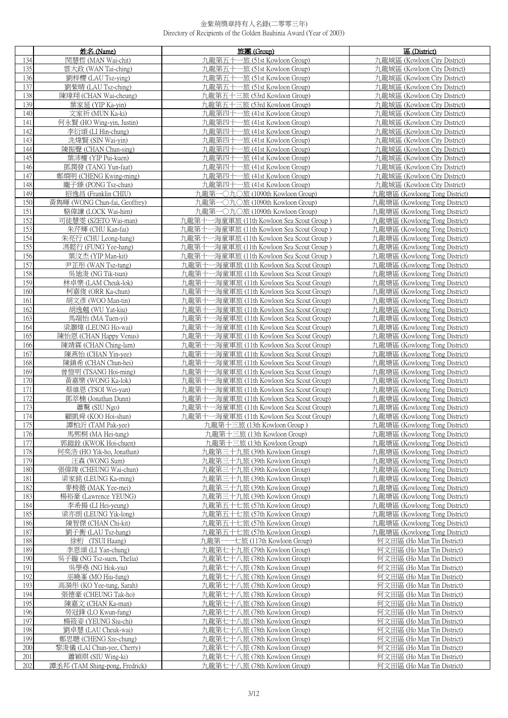|     | 姓名 (Name)                      | 旅團 (Group)                                   | 區 (District)                  |
|-----|--------------------------------|----------------------------------------------|-------------------------------|
| 134 | 閔慧哲 (MAN Wai-chit)             | 九龍第五十一旅 (51st Kowloon Group)                 | 九龍城區 (Kowloon City District)  |
| 135 | 雲大政 (WAN Tai-ching)            | 一旅 (51st Kowloon Group)<br>九龍第五十             | 九龍城區 (Kowloon City District)  |
| 136 | 劉梓櫻 (LAU Tsz-ving)             | -旅 (51st Kowloon Group)<br>九龍第五十一            | 九龍城區 (Kowloon City District)  |
| 137 | 劉紫晴 (LAU Tsz-ching)            | 九龍第五十-<br>-旅 (51st Kowloon Group)            | 九龍城區 (Kowloon City District)  |
| 138 | 陳瑋翔 (CHAN Wai-cheung)          | 九龍第五十三旅 (53rd Kowloon Group)                 | 九龍城區 (Kowloon City District)  |
| 139 | 葉家延 (YIP Ka-yin)               | 九龍第五十三旅 (53rd Kowloon Group)                 | 九龍城區 (Kowloon City District)  |
| 140 | 文家祈 (MUN Ka-ki)                | 九龍第四十一旅 (41st Kowloon Group)                 | 九龍城區 (Kowloon City District)  |
| 141 | 何永賢 (HO Wing-yin, Justin)      | 九龍第四十一<br>-旅 (41st Kowloon Group)            | 九龍城區 (Kowloon City District)  |
| 142 | 李衍頌 (LI Hin-chung)             | 九龍第四十一旅 (41st Kowloon Group)                 | 九龍城區 (Kowloon City District)  |
| 143 | 冼煒賢 (SIN Wai-yin)              | 九龍第四十一旅 (41st Kowloon Group)                 | 九龍城區 (Kowloon City District)  |
| 144 | 陳振聲 (CHAN Chun-sing)           | 九龍第四十一旅 (41st Kowloon Group)                 | 九龍城區 (Kowloon City District)  |
| 145 | 葉沛權 (YIP Pui-kuen)             | 九龍第四十一旅 (41st Kowloon Group)                 | 九龍城區 (Kowloon City District)  |
| 146 | 鄧潤發 (TANG Yun-faat)            | 九龍第四十一旅 (41st Kowloon Group)                 | 九龍城區 (Kowloon City District)  |
|     |                                |                                              |                               |
| 147 | 鄭烱明 (CHENG Kwing-ming)         | 九龍第四十一旅 (41st Kowloon Group)                 | 九龍城區 (Kowloon City District)  |
| 148 | 龐子臻 (PONG Tsz-chun)            | 九龍第四十一旅 (41st Kowloon Group)                 | 九龍城區 (Kowloon City District)  |
| 149 | 招逸昌 (Franklin CHIU)            | 九龍第一〇九〇旅 (1090th Kowloon Group)              | 九龍塘區 (Kowloong Tong District) |
| 150 | 黃雋暉 (WONG Chun-fai, Geoffrey)  | 九龍第一〇九〇旅 (1090th Kowloon Group)              | 九龍塘區 (Kowloong Tong District) |
| 151 | 駱偉謙 (LOCK Wai-him)             | 九龍第一〇九〇旅 (1090th Kowloon Group)              | 九龍塘區 (Kowloong Tong District) |
| 152 | 司徒慧雯 (SZETO Wai-man)           | 九龍第十一海童軍旅 (11th Kowloon Sea Scout Group)     | 九龍塘區 (Kowloong Tong District) |
| 153 | 朱芹輝 (CHU Kan-fai)              | 九龍第十一海童軍旅 (11th Kowloon Sea Scout Group)     | 九龍塘區 (Kowloong Tong District) |
| 154 | 朱亮行 (CHU Leong-hang)           | 九龍第十一海童軍旅 (11th Kowloon Sea Scout Group)     | 九龍塘區 (Kowloong Tong District) |
| 155 | 馮懿行 (FUNG Yee-hang)            | 九龍第十一海童軍旅 (11th Kowloon Sea Scout Group)     | 九龍塘區 (Kowloong Tong District) |
| 156 | 葉汶杰 (YIP Man-kit)              | 九龍第十一海童軍旅 (11th Kowloon Sea Scout Group)     | 九龍塘區 (Kowloong Tong District) |
| 157 | 尹芷彤 (WAN Tsz-tung)             | 九龍第十<br>一海童軍旅 (11th Kowloon Sea Scout Group) | 九龍塘區 (Kowloong Tong District) |
| 158 | 吳迪 <u>浚(NG Tik-tsun)</u>       | 九龍第十<br>一海童軍旅 (11th Kowloon Sea Scout Group) | 九龍塘區 (Kowloong Tong District) |
| 159 | 林卓樂 (LAM Cheuk-lok)            | -海童軍旅 (11th Kowloon Sea Scout Group)<br>九龍第十 | 九龍塘區 (Kowloong Tong District) |
| 160 | 柯嘉俊 (ORR Ka-chun)              | -海童軍旅 (11th Kowloon Sea Scout Group)<br>九龍第十 | 九龍塘區 (Kowloong Tong District) |
| 161 | 胡文彥 (WOO Man-tin)              | 九龍第十<br>一海童軍旅 (11th Kowloon Sea Scout Group) | 九龍塘區 (Kowloong Tong District) |
| 162 | 胡逸翹 (WU Yat-kiu)               | -海童軍旅 (11th Kowloon Sea Scout Group)<br>九龍第十 | 九龍塘區 (Kowloong Tong District) |
| 163 | 馬端怡 (MA Tuen-yi)               | -海童軍旅 (11th Kowloon Sea Scout Group)<br>九龍第十 | 九龍塘區 (Kowloong Tong District) |
| 164 | 梁灝煒 (LEUNG Ho-wai)             | -海童軍旅 (11th Kowloon Sea Scout Group)<br>九龍第十 | 九龍塘區 (Kowloong Tong District) |
| 165 | 陳怡恩 (CHAN Happy Venus)         | 九龍第十<br>-海童軍旅 (11th Kowloon Sea Scout Group) | 九龍塘區 (Kowloong Tong District) |
| 166 | 陳靖霖 (CHAN Ching-lam)           | 九龍第十<br>-海童軍旅 (11th Kowloon Sea Scout Group) | 九龍塘區 (Kowloong Tong District) |
| 167 | 陳燕怡 (CHAN Yin-yee)             | 九龍第十<br>-海童軍旅 (11th Kowloon Sea Scout Group) | 九龍塘區 (Kowloong Tong District) |
| 168 | 陳鎮希 (CHAN Chun-hei)            | 九龍第十<br>-海童軍旅 (11th Kowloon Sea Scout Group) | 九龍塘區 (Kowloong Tong District) |
| 169 | 曾愷明 (TSANG Hoi-ming)           | 九龍第十<br>一海童軍旅 (11th Kowloon Sea Scout Group) | 九龍塘區 (Kowloong Tong District) |
| 170 | 黃嘉樂 (WONG Ka-lok)              | 九龍第十一海童軍旅 (11th Kowloon Sea Scout Group)     | 九龍塘區 (Kowloong Tong District) |
| 171 | 蔡維恩 (TSOI Wei-yan)             | 一海童軍旅 (11th Kowloon Sea Scout Group)<br>九龍第十 | 九龍塘區 (Kowloong Tong District) |
| 172 | 鄧萃楠 (Jonathan Dunn)            | -海童軍旅 (11th Kowloon Sea Scout Group)<br>九龍第− | 九龍塘區 (Kowloong Tong District) |
| 173 | 蕭驁 (SIU Ngo)                   | 九龍第十一海童軍旅 (11th Kowloon Sea Scout Group)     | 九龍塘區 (Kowloong Tong District) |
| 174 | 顧凱舜 (KOO Hoi-shun)             | 九龍第十一海童軍旅 (11th Kowloon Sea Scout Group)     | 九龍塘區 (Kowloong Tong District) |
| 175 | 譚柏沂 (TAM Pak-yee)              | 九龍第十三旅 (13th Kowloon Group)                  | 九龍塘區 (Kowloong Tong District) |
| 176 | 馬熙桐 (MA Hei-tung)              | 九龍第十三旅 (13th Kowloon Group)                  | 九龍塘區 (Kowloong Tong District) |
| 177 | 郭鎧銓 (KWOK Hoi-chuen)           | 九龍第十三旅 (13th Kowloon Group)                  | 九龍塘區 (Kowloong Tong District) |
| 178 | 何奕浩 (HO Yik-ho, Jonathan)      | 九龍第三十九旅 (39th Kowloon Group)                 | 九龍塘區 (Kowloong Tong District) |
| 179 | 汪森 (WONG Sum)                  | 九龍第三十九旅 (39th Kowloon Group)                 | 九龍塘區 (Kowloong Tong District) |
| 180 | 張偉竣 (CHEUNG Wai-chun)          | 九龍第三十九旅 (39th Kowloon Group)                 | 九龍塘區 (Kowloong Tong District) |
| 181 | 梁家銘 (LEUNG Ka-ming)            | 九龍第三十九旅 (39th Kowloon Group)                 | 九龍塘區 (Kowloong Tong District) |
| 182 | 麥椅薇 (MAK Yee-mei)              | 九龍第三十九旅 (39th Kowloon Group)                 | 九龍塘區 (Kowloong Tong District) |
| 183 | 楊裕豪 (Lawrence YEUNG)           | 九龍第三十九旅 (39th Kowloon Group)                 | 九龍塘區 (Kowloong Tong District) |
| 184 | 李希揚 (LI Hei-yeung)             | 九龍第五十七旅 (57th Kowloon Group)                 | 九龍塘區 (Kowloong Tong District) |
| 185 | 梁亦朗 (LEUNG Yik-long)           | 九龍第五十七旅 (57th Kowloon Group)                 | 九龍塘區 (Kowloong Tong District) |
| 186 | 陳智傑 (CHAN Chi-kit)             | 九龍第五十七旅 (57th Kowloon Group)                 | 九龍塘區 (Kowloong Tong District) |
| 187 | 劉子衡 (LAU Tsz-hang)             | 九龍第五十七旅 (57th Kowloon Group)                 | 九龍塘區 (Kowloong Tong District) |
| 188 | 徐桁 (TSUI Haang)                | 九龍第一一七旅 (117th Kowloon Group)                | 何文田區 (Ho Man Tin District)    |
| 189 | 李恩頌 (LI Yan-chung)             | 九龍第七十九旅 (79th Kowloon Group)                 | 何文田區 (Ho Man Tin District)    |
| 190 | 吳子鏇 (NG Tsz-suen, Thelia)      | 九龍第七十八旅 (78th Kowloon Group)                 | 何文田區 (Ho Man Tin District)    |
| 191 | 吳學堯 (NG Hok-yiu)               | 九龍第七十八旅 (78th Kowloon Group)                 | 何文田區 (Ho Man Tin District)    |
| 192 | 巫曉峯 (MO Hiu-fung)              | 九龍第七十八旅 (78th Kowloon Group)                 | 何文田區 (Ho Man Tin District)    |
| 193 | 高漪彤 (KO Yee-tung, Sarah)       | 九龍第七十八旅 (78th Kowloon Group)                 | 何文田區 (Ho Man Tin District)    |
| 194 | 張德豪 (CHEUNG Tak-ho)            | 九龍第七十八旅 (78th Kowloon Group)                 | 何文田區 (Ho Man Tin District)    |
| 195 | 陳嘉文 (CHAN Ka-man)              | 九龍第七十八旅 (78th Kowloon Group)                 | 何文田區 (Ho Man Tin District)    |
| 196 | 勞冠鋒 (LO Kwun-fung)             | 九龍第七十八旅 (78th Kowloon Group)                 | 何文田區 (Ho Man Tin District)    |
| 197 | 楊筱姿 (YEUNG Siu-chi)            | 九龍第七十八旅 (78th Kowloon Group)                 | 何文田區 (Ho Man Tin District)    |
| 198 | 劉卓慧 (LAU Cheuk-wai)            | 九龍第七十八旅 (78th Kowloon Group)                 | 何文田區 (Ho Man Tin District)    |
| 199 | 鄭思聰 (CHENG Sze-chung)          | 九龍第七十八旅 (78th Kowloon Group)                 | 何文田區 (Ho Man Tin District)    |
| 200 | 黎浚儀 (LAI Chun-yee, Cherry)     | 九龍第七十八旅 (78th Kowloon Group)                 | 何文田區 (Ho Man Tin District)    |
| 201 | 蕭穎琪 (SIU Wing-ki)              | 九龍第七十八旅 (78th Kowloon Group)                 | 何文田區 (Ho Man Tin District)    |
| 202 | 譚丞邦 (TAM Shing-pong, Fredrick) | 九龍第七十八旅 (78th Kowloon Group)                 | 何文田區 (Ho Man Tin District)    |
|     |                                |                                              |                               |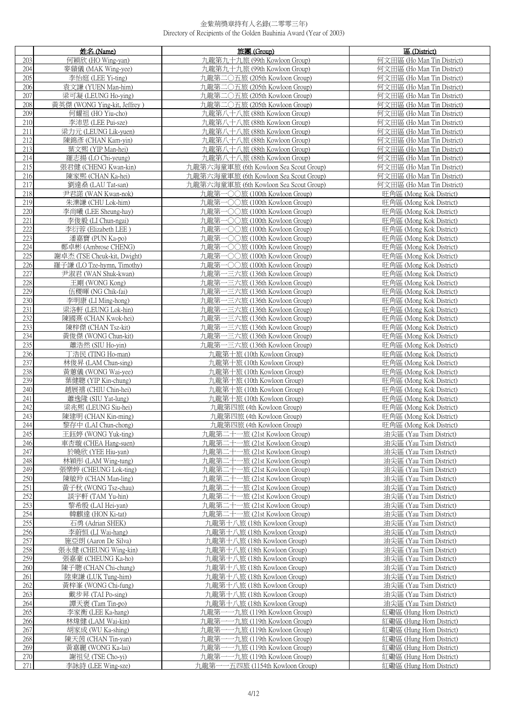|            | 姓名 (Name)                                  | 旅團 (Group)                                                     | 區 (District)                                       |
|------------|--------------------------------------------|----------------------------------------------------------------|----------------------------------------------------|
| 203        | 何穎欣 (HO Wing-yan)                          | 九龍第九十九旅 (99th Kowloon Group)                                   | 何文田區 (Ho Man Tin District)                         |
| 204        | 麥蘏儀 (MAK Wing-yee)                         | 九龍第九十九旅 (99th Kowloon Group)                                   | 何文田區 (Ho Man Tin District)                         |
| 205        | 李怡庭 (LEE Yi-ting)                          | 九龍第二〇五旅 (205th Kowloon Group)                                  | 何文田區 (Ho Man Tin District)                         |
| 206        | 袁文謙 (YUEN Man-him)                         | 九龍第二〇五旅 (205th Kowloon Group)                                  | 何文田區 (Ho Man Tin District)                         |
| 207        | 梁可凝 (LEUNG Ho-ving)                        | 九龍第二〇五旅 (205th Kowloon Group)                                  | 何文田區 (Ho Man Tin District)                         |
| 208        | 黃英傑 (WONG Ying-kit, Jeffrey)               | 九龍第二〇五旅 (205th Kowloon Group)                                  | 何文田區 (Ho Man Tin District)                         |
| 209        | 何耀祖 (HO Yiu-cho)                           | 九龍第八十八旅 (88th Kowloon Group)                                   | 何文田區 (Ho Man Tin District)                         |
| 210        | 李沛思 (LEE Pui-sze)                          | 九龍第八十八旅 (88th Kowloon Group)                                   | 何文田區 (Ho Man Tin District)                         |
| 211        | 梁力元 (LEUNG Lik-yuen)                       | 九龍第八十八旅 (88th Kowloon Group)                                   | 何文田區 (Ho Man Tin District)                         |
| 212        | 陳錦彥 (CHAN Kam-yin)                         | 九龍第八十八旅 (88th Kowloon Group)                                   | 何文田區 (Ho Man Tin District)                         |
| 213        | 葉文熙 (YIP Man-hei)                          | 九龍第八十八旅 (88th Kowloon Group)                                   | 何文田區 (Ho Man Tin District)                         |
| 214        | 羅志揚 (LO Chi-yeung)                         | 九龍第八十八旅 (88th Kowloon Group)                                   | 何文田區 (Ho Man Tin District)                         |
| 215        | 張君健 (CHENG Kwan-kin)                       | 九龍第六海童軍旅 (6th Kowloon Sea Scout Group)                         | 何文田區 (Ho Man Tin District)                         |
| 216        | 陳家熙 (CHAN Ka-hei)                          | 九龍第六海童軍旅 (6th Kowloon Sea Scout Group)                         | 何文田區 (Ho Man Tin District)                         |
| 217        | 劉達桑 (LAU Tat-san)                          | 九龍第六海童軍旅 (6th Kowloon Sea Scout Group)                         | 何文田區 (Ho Man Tin District)                         |
| 218        | 尹君諾 (WAN Kwan-nok)                         | 九龍第一〇〇旅 (100th Kowloon Group)                                  | 旺角區 (Mong Kok District)                            |
| 219        | 朱濼謙 (CHU Lok-him)                          | 九龍第一〇〇旅 (100th Kowloon Group)                                  | 旺角區 (Mong Kok District)                            |
| 220        | 李尚曦 (LEE Sheung-hay)                       | 九龍第一〇〇旅 (100th Kowloon Group)                                  | 旺角區 (Mong Kok District)                            |
| 221        | 李俊毅 (LI Chun-ngai)                         | 九龍第一〇〇旅 (100th Kowloon Group)                                  | 旺角區 (Mong Kok District)                            |
| 222        | 李衍蓉 (Elizabeth LEE)                        | 九龍第一〇〇旅 (100th Kowloon Group)                                  | 旺角區 (Mong Kok District)                            |
| 223        | 潘嘉寶 (PUN Ka-po)                            | 九龍第一〇〇旅 (100th Kowloon Group)                                  | 旺角區 (Mong Kok District)                            |
| 224        | 鄭卓彬 (Ambrose CHENG)                        | 九龍第一〇〇旅 (100th Kowloon Group)                                  | 旺角區 (Mong Kok District)                            |
| 225        | 謝卓杰 (TSE Cheuk-kit, Dwight)                | 九龍第一〇〇旅 (100th Kowloon Group)                                  | 旺角區 (Mong Kok District)                            |
| 226        | 羅子謙 (LO Tze-hymn, Timothy)                 | 九龍第一〇〇旅 (100th Kowloon Group)<br>九龍第一三六旅 (136th Kowloon Group) | 旺角區 (Mong Kok District)                            |
| 227<br>228 | 尹淑君 (WAN Shuk-kwan)<br>王剛 (WONG Kong)      | 九龍第一三六旅 (136th Kowloon Group)                                  | 旺角區 (Mong Kok District)<br>旺角區 (Mong Kok District) |
| 229        | 伍稷暉 (NG Chik-fai)                          | 九龍第一三六旅 (136th Kowloon Group)                                  | 旺角區 (Mong Kok District)                            |
| 230        | 李明康 (LI Ming-hong)                         | 九龍第一三六旅 (136th Kowloon Group)                                  | 旺角區 (Mong Kok District)                            |
| 231        | 梁洛軒 (LEUNG Lok-hin)                        | 九龍第一三六旅 (136th Kowloon Group)                                  | 旺角區 (Mong Kok District)                            |
| 232        | 陳國熹 (CHAN Kwok-hei)                        | 九龍第一三六旅 (136th Kowloon Group)                                  | 旺角區 (Mong Kok District)                            |
| 233        | 陳梓傑 (CHAN Tsz-kit)                         | 九龍第一三六旅 (136th Kowloon Group)                                  | 旺角區 (Mong Kok District)                            |
| 234        | 黃俊傑 (WONG Chun-kit)                        | 九龍第一三六旅 (136th Kowloon Group)                                  | 旺角區 (Mong Kok District)                            |
| 235        | 蕭浩然 (SIU Ho-yin)                           | 九龍第一三六旅 (136th Kowloon Group)                                  | 旺角區 (Mong Kok District)                            |
| 236        | 丁浩民 (TING Ho-man)                          | 九龍第十旅 (10th Kowloon Group)                                     | 旺角區 (Mong Kok District)                            |
| 237        | 林俊昇 (LAM Chun-sing)                        | 九龍第十旅 (10th Kowloon Group)                                     | 旺角區 (Mong Kok District)                            |
| 238        | 黃蕙儀 (WONG Wai-yee)                         | 九龍第十旅 (10th Kowloon Group)                                     | 旺角區 (Mong Kok District)                            |
| 239        | 葉健聰 (YIP Kin-chung)                        | 九龍第十旅 (10th Kowloon Group)                                     | 旺角區 (Mong Kok District)                            |
| 240        | 趙展禧 (CHIU Chin-hei)                        | 九龍第十旅 (10th Kowloon Group)                                     | 旺角區 (Mong Kok District)                            |
| 241<br>242 | 蕭逸隆 (SIU Yat-lung)                         | 九龍第十旅 (10th Kowloon Group)<br>九龍第四旅 (4th Kowloon Group)        | 旺角區 (Mong Kok District)<br>旺角區 (Mong Kok District) |
| 243        | 梁兆熙 (LEUNG Siu-hei)<br>陳建明 (CHAN Kin-ming) | 九龍第四旅 (4th Kowloon Group)                                      | 旺角區 (Mong Kok District)                            |
| 244        | 黎存中 (LAI Chun-chong)                       | 九龍第四旅 (4th Kowloon Group)                                      | 旺角區 (Mong Kok District)                            |
| 245        | 王鈺婷 (WONG Yuk-ting)                        | 九龍第二十一旅 (21st Kowloon Group)                                   | 油尖區 (Yau Tsim District)                            |
| 246        | 車杏璇 (CHEA Hang-suen)                       | 九龍第二十一旅 (21st Kowloon Group)                                   | 油尖區 (Yau Tsim District)                            |
| 247        | 於曉欣 (YEE Hiu-van)                          | 九龍第二十一旅 (21st Kowloon Group)                                   | 油尖區 (Yau Tsim District)                            |
| 248        | 林穎彤 (LAM Wing-tung)                        | 九龍第二十一旅 (21st Kowloon Group)                                   | 油尖區 (Yau Tsim District)                            |
| 249        | 張樂婷 (CHEUNG Lok-ting)                      | 九龍第二十一旅 (21st Kowloon Group)                                   | 油尖區 (Yau Tsim District)                            |
| 250        | 陳敏羚 (CHAN Man-ling)                        | 九龍第二十一旅 (21st Kowloon Group)                                   | 油尖區 (Yau Tsim District)                            |
| 251        | 黃子秋 (WONG Tsz-chau)                        | 九龍第二十一旅 (21st Kowloon Group)                                   | 油尖區 (Yau Tsim District)                            |
| 252        | 談字軒 (TAM Yu-hin)                           | 九龍第二十一旅 (21st Kowloon Group)                                   | 油尖區 (Yau Tsim District)                            |
| 253        | 黎希殷 (LAI Hei-yan)                          | 九龍第二十一旅 (21st Kowloon Group)                                   | 油尖區 (Yau Tsim District)                            |
| 254        | 韓麒達 (HON Ki-tat)                           | 九龍第二十一旅 (21st Kowloon Group)                                   | 油尖區 (Yau Tsim District)                            |
| 255<br>256 | 石勇 (Adrian SHEK)<br>李蔚恒 (LI Wai-hang)      | 九龍第十八旅 (18th Kowloon Group)                                    | 油尖區 (Yau Tsim District)<br>油尖區 (Yau Tsim District) |
| 257        | 施亞朗 (Aaron De Silva)                       | 九龍第十八旅 (18th Kowloon Group)<br>九龍第十八旅 (18th Kowloon Group)     | 油尖區 (Yau Tsim District)                            |
| 258        | 張永健 (CHEUNG Wing-kin)                      | 九龍第十八旅 (18th Kowloon Group)                                    | 油尖區 (Yau Tsim District)                            |
| 259        | 張嘉豪 (CHEUNG Ka-ho)                         | 九龍第十八旅 (18th Kowloon Group)                                    | 油尖區 (Yau Tsim District)                            |
| 260        | 陳子聰 (CHAN Chi-chung)                       | 九龍第十八旅 (18th Kowloon Group)                                    | 油尖區 (Yau Tsim District)                            |
| 261        | 陸東謙 (LUK Tung-him)                         | 九龍第十八旅 (18th Kowloon Group)                                    | 油尖區 (Yau Tsim District)                            |
| 262        | 黃梓峯 (WONG Chi-fung)                        | 九龍第十八旅 (18th Kowloon Group)                                    | 油尖區 (Yau Tsim District)                            |
| 263        | 戴步昇 (TAI Po-sing)                          | 九龍第十八旅 (18th Kowloon Group)                                    | 油尖區 (Yau Tsim District)                            |
| 264        | 譚天褒 (Tam Tin-po)                           | 九龍第十八旅 (18th Kowloon Group)                                    | 油尖區 (Yau Tsim District)                            |
| 265        | 李家衡 (LEE Ka-hang)                          | 九龍第一一九旅 (119th Kowloon Group)                                  | 紅磡區 (Hung Hom District)                            |
| 266        | 林煒健 (LAM Wai-kin)                          | 九龍第一一九旅 (119th Kowloon Group)                                  | 紅磡區 (Hung Hom District)                            |
| 267        | 胡家成 (WU Ka-shing)                          | 九龍第一一九旅 (119th Kowloon Group)                                  | 紅磡區 (Hung Hom District)                            |
| 268        | 陳天茵 (CHAN Tin-yan)                         | 九龍第-<br>一九旅 (119th Kowloon Group)                              | 紅磡區 (Hung Hom District)                            |
| 269<br>270 | 黃嘉麗 (WONG Ka-lai)<br>謝祖兒 (TSE Cho-yi)      | 九龍第一一九旅 (119th Kowloon Group)<br>九龍第一一九旅 (119th Kowloon Group) | 紅磡區 (Hung Hom District)<br>紅磡區 (Hung Hom District) |
| 271        | 李詠詩 (LEE Wing-sze)                         | 九龍第一一五四旅 (1154th Kowloon Group)                                | 紅磡區 (Hung Hom District)                            |
|            |                                            |                                                                |                                                    |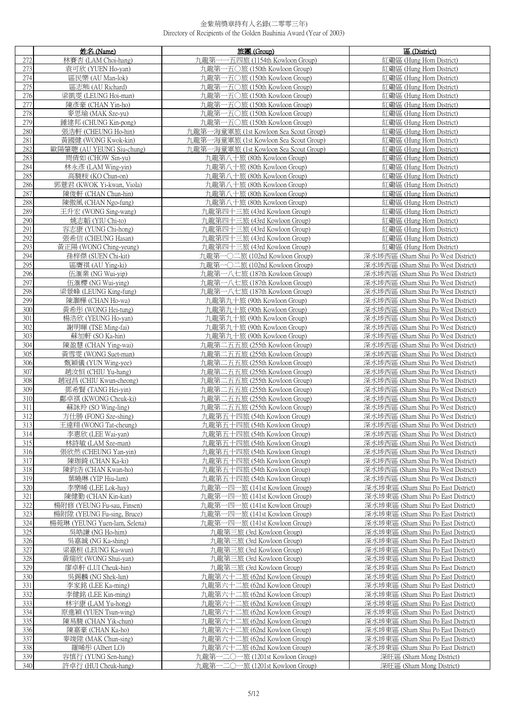|            | 姓名 (Name)                                  | 旅團 (Group)                                                   | 區 (District)                                                             |
|------------|--------------------------------------------|--------------------------------------------------------------|--------------------------------------------------------------------------|
| 272        | 林賽杏 (LAM Choi-hang)                        | -一五四旅 (1154th Kowloon Group)<br>九龍第一                         | 紅磡區 (Hung Hom District)                                                  |
| 273        | 袁可欣 (YUEN Ho-yan)                          | 九龍第一五〇旅 (150th Kowloon Group)                                | 紅磡區 (Hung Hom District)                                                  |
| 274        | 區民樂 (AU Man-lok)                           | 九龍第一五〇旅 (150th Kowloon Group)                                | 红磡區 (Hung Hom District)                                                  |
| 275        | 區志熊 (AU Richard)                           | 九龍第一五〇旅 (150th Kowloon Group)                                | 紅磡區 (Hung Hom District)                                                  |
| 276        | 梁凱雯 (LEUNG Hoi-man)                        | 九龍第一五〇旅 (150th Kowloon Group)                                | 紅磡區 (Hung Hom District)                                                  |
| 277        | 陳彥豪 (CHAN Yin-ho)                          | 九龍第一五〇旅 (150th Kowloon Group)                                | 紅磡區 (Hung Hom District)                                                  |
| 278        | 麥思瑜 (MAK Sze-yu)                           | 九龍第一五〇旅 (150th Kowloon Group)                                | 紅磡區 (Hung Hom District)                                                  |
| 279        | 鍾建邦 (CHUNG Kin-pong)                       | 九龍第一五〇旅 (150th Kowloon Group)                                | 紅磡區 (Hung Hom District)                                                  |
| 280        | 張浩軒 (CHEUNG Ho-hin)                        | 九龍第一海童軍旅 (1st Kowloon Sea Scout Group)                       | 紅磡區 (Hung Hom District)                                                  |
| 281        | 黃國健 (WONG Kwok-kin)                        | 九龍第一海童軍旅 (1st Kowloon Sea Scout Group)                       | 紅磡區 (Hung Hom District)                                                  |
| 282        | 歐陽肇聰 (AU YEUNG Siu-chung)                  | 九龍第一海童軍旅 (1st Kowloon Sea Scout Group)                       | 红磡區 (Hung Hom District)                                                  |
| 283        | 周倩如 (CHOW Sin-yu)                          | 九龍第八十旅 (80th Kowloon Group)                                  | 紅磡區 (Hung Hom District)                                                  |
| 284        | 林永彥 (LAM Wing-yin)                         | 九龍第八十旅 (80th Kowloon Group)                                  | 紅磡區 (Hung Hom District)                                                  |
| 285        | 高駿桉 (KO Chun-on)                           | 九龍第八十旅 (80th Kowloon Group)                                  | 紅磡區 (Hung Hom District)                                                  |
| 286        | 郭薏君 (KWOK Yi-kwan, Viola)                  | 九龍第八十旅 (80th Kowloon Group)                                  | 红磡區 (Hung Hom District)                                                  |
| 287        | 陳俊軒 (CHAN Chun-hin)                        | 九龍第八十旅 (80th Kowloon Group)                                  | 紅磡區 (Hung Hom District)                                                  |
| 288        | 陳傲風 (CHAN Ngo-fung)                        | 九龍第八十旅 (80th Kowloon Group)                                  | 紅磡區 (Hung Hom District)                                                  |
| 289        | 王升宏 (WONG Sing-wang)                       | 九龍第四十三旅 (43rd Kowloon Group)                                 | 紅磡區 (Hung Hom District)                                                  |
| 290        | 姚志韜 (YIU Chi-to)                           | 九龍第四十三旅 (43rd Kowloon Group)                                 | 紅磡區 (Hung Hom District)                                                  |
| 291        | 容志康 (YUNG Chi-hong)                        | 九龍第四十三旅 (43rd Kowloon Group)                                 | 紅磡區 (Hung Hom District)                                                  |
| 292        | 張希信 (CHEUNG Hasan)                         | 九龍第四十三旅 (43rd Kowloon Group)                                 | 紅磡區 (Hung Hom District)                                                  |
| 293        | 黃正陽 (WONG Ching-yeung)                     | 九龍第四十三旅 (43rd Kowloon Group)                                 | 紅磡區 (Hung Hom District)                                                  |
| 294        | 孫梓傑 (SUEN Chi-kit)                         | 九龍第一〇二旅 (102nd Kowloon Group)                                | 深水埗西區 (Sham Shui Po West District)                                       |
| 295        | 區膺祺 (AU Ying-ki)                           | 九龍第一〇二旅 (102nd Kowloon Group)                                | 深水埗西區 (Sham Shui Po West District)                                       |
| 296        | 伍滙業 (NG Wui-yip)                           | 九龍第一八七旅 (187th Kowloon Group)                                | 深水埗西區 (Sham Shui Po West District)                                       |
| 297        | 伍滙櫻 (NG Wui-ying)                          | 九龍第一八七旅 (187th Kowloon Group)                                | 深水埗西區 (Sham Shui Po West District)                                       |
| 298<br>299 | 梁景峰 (LEUNG King-fung)                      | 九龍第一八七旅 (187th Kowloon Group)                                | 深水埗西區 (Sham Shui Po West District)                                       |
| 300        | 陳灝樺 (CHAN Ho-wa)<br>黃希彤 (WONG Hei-tung)    | 九龍第九十旅 (90th Kowloon Group)<br>九龍第九十旅 (90th Kowloon Group)   | 深水埗西區 (Sham Shui Po West District)<br>深水埗西區 (Sham Shui Po West District) |
| 301        | 楊浩欣 (YEUNG Ho-yan)                         | 九龍第九十旅 (90th Kowloon Group)                                  | 深水埗西區 (Sham Shui Po West District)                                       |
| 302        | 謝明暉 (TSE Ming-fai)                         | 九龍第九十旅 (90th Kowloon Group)                                  | 深水埗西區 (Sham Shui Po West District)                                       |
| 303        | 蘇加軒 (SO Ka-hin)                            | 九龍第九十旅 (90th Kowloon Group)                                  | 深水埗西區 (Sham Shui Po West District)                                       |
| 304        | 陳盈慧 (CHAN Ying-wai)                        | 九龍第二五五旅 (255th Kowloon Group)                                | 深水埗西區 (Sham Shui Po West District)                                       |
| 305        | 黃雪雯 (WONG Suet-man)                        | 九龍第二五五旅 (255th Kowloon Group)                                | 深水埗西區 (Sham Shui Po West District)                                       |
| 306        | 甄穎儀 (YUN Wing-yee)                         | 九龍第二五五旅 (255th Kowloon Group)                                | 深水埗西區 (Sham Shui Po West District)                                       |
| 307        | 趙汝恒 (CHIU Yu-hang)                         | 九龍第二五五旅 (255th Kowloon Group)                                | 深水埗西區 (Sham Shui Po West District)                                       |
| 308        | 趙冠昌 (CHIU Kwun-cheong)                     | 九龍第二五五旅 (255th Kowloon Group)                                | 深水埗西區 (Sham Shui Po West District)                                       |
| 309        | 鄧希賢 (TANG Hei-vin)                         | 九龍第二五五旅 (255th Kowloon Group)                                | 深水埗西區 (Sham Shui Po West District)                                       |
| 310        | 鄺卓祺 (KWONG Cheuk-ki)                       | 九龍第二五五旅 (255th Kowloon Group)                                | 深水埗西區 (Sham Shui Po West District)                                       |
| 311        | 蘇詠羚 (SO Wing-ling)                         | 九龍第二五五旅 (255th Kowloon Group)                                | 深水埗西區 (Sham Shui Po West District)                                       |
| 312<br>313 | 方仕勝 (FONG Sze-shing)                       | 九龍第五十四旅 (54th Kowloon Group)<br>九龍第五十四旅 (54th Kowloon Group) | 深水埗西區 (Sham Shui Po West District)                                       |
| 314        | 王達翔 (WONG Tat-cheung)<br>李惠欣 (LEE Wai-yan) | 九龍第五十四旅 (54th Kowloon Group)                                 | 深水埗西區 (Sham Shui Po West District)<br>深水埗西區 (Sham Shui Po West District) |
| 315        | 林詩敏 (LAM Sze-man)                          | 九龍第五十四旅 (54th Kowloon Group)                                 | 深水埗西區 (Sham Shui Po West District)                                       |
| 316        | 張欣然 (CHEUNG Yan-vin)                       | 九龍第五十四旅 (54th Kowloon Group)                                 | 深水埗西區 (Sham Shui Po West District)                                       |
| 317        | 陳珈錡 (CHAN Ka-ki)                           | 九龍第五十四旅 (54th Kowloon Group)                                 | 深水埗西區 (Sham Shui Po West District)                                       |
| 318        | 陳鈞浩 (CHAN Kwan-ho)                         | 九龍第五十四旅 (54th Kowloon Group)                                 | 深水埗西區 (Sham Shui Po West District)                                       |
| 319        | 葉曉琳 (YIP Hiu-lam)                          | 九龍第五十四旅 (54th Kowloon Group)                                 | 深水埗西區 (Sham Shui Po West District)                                       |
| 320        | 李樂晞 (LEE Lok-hay)                          | 九龍第一四一旅 (141st Kowloon Group)                                | 深水埗東區 (Sham Shui Po East District)                                       |
| 321        | 陳健勤 (CHAN Kin-kan)                         | 九龍第一四一旅 (141st Kowloon Group)                                | 深水埗東區 (Sham Shui Po East District)                                       |
| 322        | 楊附修 (YEUNG Fu-sau, Finsen)                 | 九龍第一四一旅 (141st Kowloon Group)                                | 深水埗東區 (Sham Shui Po East District)                                       |
| 323        | 楊附陞 (YEUNG Fu-sing, Bruce)                 | 九龍第一四一旅 (141st Kowloon Group)                                | 深水埗東區 (Sham Shui Po East District)                                       |
| 324        | 楊菀琳 (YEUNG Yuen-lam, Selena)               | 九龍第一四一旅 (141st Kowloon Group)                                | 深水埗東區 (Sham Shui Po East District)                                       |
| 325        | 吳皓謙 (NG Ho-him)                            | 九龍第三旅 (3rd Kowloon Group)                                    | 深水埗東區 (Sham Shui Po East District)                                       |
| 326        | 吳嘉誠 (NG Ka-shing)                          | 九龍第三旅 (3rd Kowloon Group)                                    | 深水埗東區 (Sham Shui Po East District)                                       |
| 327<br>328 | 梁嘉桓 (LEUNG Ka-wun)<br>黃瑞欣 (WONG Shui-yan)  | 九龍第三旅 (3rd Kowloon Group)<br>九龍第三旅 (3rd Kowloon Group)       | 深水埗東區 (Sham Shui Po East District)<br>深水埗東區 (Sham Shui Po East District) |
| 329        | 廖卓軒 (LUI Cheuk-hin)                        | 九龍第三旅 (3rd Kowloon Group)                                    | 深水埗東區 (Sham Shui Po East District)                                       |
| 330        | 吳錫麟 (NG Shek-lun)                          | 九龍第六十二旅 (62nd Kowloon Group)                                 | 深水埗東區 (Sham Shui Po East District)                                       |
| 331        | 李家銘 (LEE Ka-ming)                          | 九龍第六十二旅 (62nd Kowloon Group)                                 | 深水埗東區 (Sham Shui Po East District)                                       |
| 332        | 李健銘 (LEE Kin-ming)                         | 九龍第六十二旅 (62nd Kowloon Group)                                 | 深水埗東區 (Sham Shui Po East District)                                       |
| 333        | 林宇康 (LAM Yu-hong)                          | 九龍第六十二旅 (62nd Kowloon Group)                                 | 深水埗東區 (Sham Shui Po East District)                                       |
| 334        | 原進穎 (YUEN Tsun-wing)                       | 九龍第六十二旅 (62nd Kowloon Group)                                 | 深水埗東區 (Sham Shui Po East District)                                       |
| 335        | 陳易駿 (CHAN Yik-chun)                        | 九龍第六十二旅 (62nd Kowloon Group)                                 | 深水埗東區 (Sham Shui Po East District)                                       |
| 336        | 陳嘉豪 (CHAN Ka-ho)                           | 九龍第六十二旅 (62nd Kowloon Group)                                 | 深水埗東區 (Sham Shui Po East District)                                       |
| 337        | 麥竣陞 (MAK Chun-sing)                        | 九龍第六十二旅 (62nd Kowloon Group)                                 | 深水埗東區 (Sham Shui Po East District)                                       |
| 338        | 羅晞彤 (Albert LO)                            | 九龍第六十二旅 (62nd Kowloon Group)                                 | 深水埗東區 (Sham Shui Po East District)                                       |
| 339        | 容慎行 (YUNG Sen-hang)                        | 九龍第一二〇一旅 (1201st Kowloon Group)                              | 深旺區 (Sham Mong District)                                                 |
| 340        | 許卓行 (HUI Cheuk-hang)                       | 九龍第一二〇一旅 (1201st Kowloon Group)                              | 深旺區 (Sham Mong District)                                                 |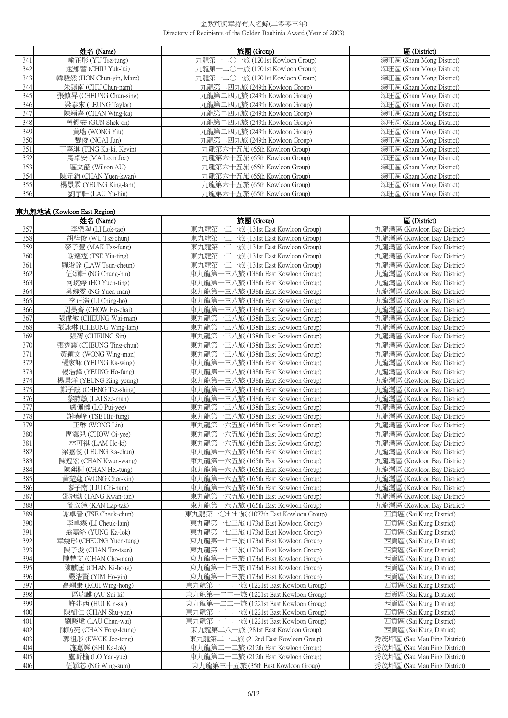|     | 姓名 (Name)                | 旅團 (Group)                      | 區 (District)             |
|-----|--------------------------|---------------------------------|--------------------------|
| 341 | 喻芷彤 (YU Tsz-tung)        | 九龍第一二〇一旅 (1201st Kowloon Group) | 深旺區 (Sham Mong District) |
| 342 | 趙郁蕾 (CHIU Yuk-lui)       | 九龍第一二〇一旅 (1201st Kowloon Group) | 深旺區 (Sham Mong District) |
| 343 | 韓駿然 (HON Chun-yin, Marc) | 九龍第一二〇一旅 (1201st Kowloon Group) | 深旺區 (Sham Mong District) |
| 344 | 朱鎮南 (CHU Chun-nam)       | 九龍第二四九旅 (249th Kowloon Group)   | 深旺區 (Sham Mong District) |
| 345 | 張鎮昇 (CHEUNG Chun-sing)   | 九龍第二四九旅 (249th Kowloon Group)   | 深旺區 (Sham Mong District) |
| 346 | 梁泰來 (LEUNG Taylor)       | 九龍第二四九旅 (249th Kowloon Group)   | 深旺區 (Sham Mong District) |
| 347 | 陳穎嘉 (CHAN Wing-ka)       | 九龍第二四九旅 (249th Kowloon Group)   | 深旺區 (Sham Mong District) |
| 348 | 曾錫安 (GUN Shek-on)        | 九龍第二四九旅 (249th Kowloon Group)   | 深旺區 (Sham Mong District) |
| 349 | 黃瑤 (WONG Yiu)            | 九龍第二四九旅 (249th Kowloon Group)   | 深旺區 (Sham Mong District) |
| 350 | 魏俊 (NGAI Jun)            | 九龍第二四九旅 (249th Kowloon Group)   | 深旺區 (Sham Mong District) |
| 351 | 「嘉淇 (TING Ka-ki, Kevin)  | 九龍第六十五旅 (65th Kowloon Group)    | 深旺區 (Sham Mong District) |
| 352 | 馬卓安 (MA Leon Joe)        | 九龍第六十五旅 (65th Kowloon Group)    | 深旺區 (Sham Mong District) |
| 353 | 區文韶 (Wilson AU)          | 九龍第六十五旅 (65th Kowloon Group)    | 深旺區 (Sham Mong District) |
| 354 | 陳元鈞 (CHAN Yuen-kwan)     | 九龍第六十五旅 (65th Kowloon Group)    | 深旺區 (Sham Mong District) |
| 355 | 楊景霖 (YEUNG King-lam)     | 九龍第六十五旅 (65th Kowloon Group)    | 深旺區 (Sham Mong District) |
| 356 | 劉宇軒 (LAU Yu-hin)         | 九龍第六十五旅 (65th Kowloon Group)    | 深旺區 (Sham Mong District) |

# 東九龍地域 (Kowloon East Region)

| 東九龍第一三一旅 (131st East Kowloon Group)<br>357<br>李樂陶 (LI Lok-tao)<br>九龍灣區 (Kowloon Bay District)<br>358<br>東九龍第一三一旅 (131st East Kowloon Group)<br>胡梓俊 (WU Tsz-chun)<br>九龍灣區 (Kowloon Bay District)<br>359<br>東九龍第一三一旅 (131st East Kowloon Group)<br>九龍灣區 (Kowloon Bay District)<br>麥子豐 (MAK Tsz-fung)<br>360<br>東九龍第一三一旅 (131st East Kowloon Group)<br>謝耀霆 (TSE Yiu-ting)<br>九龍灣區 (Kowloon Bay District)<br>361<br>東九龍第一三一旅 (131st East Kowloon Group)<br>羅浚鈴 (LAW Tsun-cheun)<br>九龍灣區 (Kowloon Bay District)<br>362<br>東九龍第一三八旅 (138th East Kowloon Group)<br>伍頌軒 (NG Chung-hin)<br>九龍灣區 (Kowloon Bay District)<br>363<br>東九龍第一三八旅 (138th East Kowloon Group)<br>何琬婷 (HO Yuen-ting)<br>九龍灣區 (Kowloon Bay District)<br>364<br>吳婉雯 (NG Yuen-man)<br>東九龍第一三八旅 (138th East Kowloon Group)<br>九龍灣區 (Kowloon Bay District)<br>365<br>東九龍第一三八旅 (138th East Kowloon Group)<br>李正浩 (LI Ching-ho)<br>九龍灣區 (Kowloon Bay District)<br>366<br>東九龍第一三八旅 (138th East Kowloon Group)<br>周昊齊 (CHOW Ho-chai)<br>九龍灣區 (Kowloon Bay District)<br>367<br>張偉敏 (CHEUNG Wai-man)<br>東九龍第一三八旅 (138th East Kowloon Group)<br>九龍灣區 (Kowloon Bay District)<br>368<br>張詠琳 (CHEUNG Wing-lam)<br>東九龍第一三八旅 (138th East Kowloon Group)<br>九龍灣區 (Kowloon Bay District)<br>369<br>張蒨 (CHEUNG Sin)<br>東九龍第一三八旅 (138th East Kowloon Group)<br>九龍灣區 (Kowloon Bay District)<br>370<br>張霆震 (CHEUNG Ting-chun)<br>東九龍第一三八旅 (138th East Kowloon Group)<br>九龍灣區 (Kowloon Bay District)<br>371<br>東九龍第一三八旅 (138th East Kowloon Group)<br>黃穎文 (WONG Wing-man)<br>九龍灣區 (Kowloon Bay District)<br>372<br>楊家詠 (YEUNG Ka-wing)<br>東九龍第一三八旅 (138th East Kowloon Group)<br>九龍灣區 (Kowloon Bay District)<br>373<br>東九龍第一三八旅 (138th East Kowloon Group)<br>楊浩鋒 (YEUNG Ho-fung)<br>九龍灣區 (Kowloon Bay District)<br>374<br>東九龍第一三八旅 (138th East Kowloon Group)<br>九龍灣區 (Kowloon Bay District)<br>楊景洋 (YEUNG King-yeung)<br>375<br>鄭子誠 (CHENG Tsz-shing)<br>東九龍第一三八旅 (138th East Kowloon Group)<br>九龍灣區 (Kowloon Bay District)<br>376<br>東九龍第一三八旅 (138th East Kowloon Group)<br>黎詩敏 (LAI Sze-man)<br>九龍灣區 (Kowloon Bay District)<br>377<br>盧佩儀 (LO Pui-yee)<br>東九龍第一三八旅 (138th East Kowloon Group)<br>九龍灣區 (Kowloon Bay District)<br>378<br>九龍灣區 (Kowloon Bay District)<br>謝曉峰 (TSE Hiu-fung)<br>東九龍第一三八旅 (138th East Kowloon Group)<br>379<br>王琳 (WONG Lin)<br>東九龍第一六五旅 (165th East Kowloon Group)<br>九龍灣區 (Kowloon Bay District)<br>380<br>周靄兒 (CHOW Oi-yee)<br>東九龍第一六五旅 (165th East Kowloon Group)<br>九龍灣區 (Kowloon Bay District)<br>381<br>東九龍第一六五旅 (165th East Kowloon Group)<br>林可祺 (LAM Ho-ki)<br>九龍灣區 (Kowloon Bay District)<br>382<br>梁嘉俊 (LEUNG Ka-chun)<br>東九龍第一六五旅 (165th East Kowloon Group)<br>九龍灣區 (Kowloon Bay District)<br>383<br>九龍灣區 (Kowloon Bay District)<br>陳冠宏 (CHAN Kwun-wang)<br>東九龍第一六五旅 (165th East Kowloon Group)<br>384<br>陳熙桐 (CHAN Hei-tung)<br>東九龍第一六五旅 (165th East Kowloon Group)<br>九龍灣區 (Kowloon Bay District)<br>385<br>黃楚翹 (WONG Chor-kin)<br>東九龍第一六五旅 (165th East Kowloon Group)<br>九龍灣區 (Kowloon Bay District)<br>386<br>廖子南 (LIU Chi-nam)<br>東九龍第一六五旅 (165th East Kowloon Group)<br>九龍灣區 (Kowloon Bay District)<br>387<br>鄧冠勳 (TANG Kwan-fan)<br>東九龍第一六五旅 (165th East Kowloon Group)<br>九龍灣區 (Kowloon Bay District)<br>388<br>簡立德 (KAN Lap-tak)<br>東九龍第一六五旅 (165th East Kowloon Group)<br>九龍灣區 (Kowloon Bay District)<br>389<br>東九龍第一〇七七旅 (1077th East Kowloon Group)<br>謝卓晉 (TSE Cheuk-chun)<br>西貢區 (Sai Kung District)<br>390<br>李卓霖 (LI Cheuk-lam)<br>東九龍第一七三旅 (173rd East Kowloon Group)<br>西貢區 (Sai Kung District)<br>391<br>翁嘉絡 (YUNG Ka-lok)<br>東九龍第一七三旅 (173rd East Kowloon Group)<br>西貢區 (Sai Kung District)<br>392<br>章婉彤 (CHEUNG Yuen-tung)<br>東九龍第一七三旅 (173rd East Kowloon Group)<br>西貢區 (Sai Kung District)<br>393<br>東九龍第一七三旅 (173rd East Kowloon Group)<br>陳子浚 (CHAN Tsz-tsun)<br>西貢區 (Sai Kung District)<br>394<br>陳楚文 (CHAN Cho-man)<br>東九龍第一七三旅 (173rd East Kowloon Group)<br>西貢區 (Sai Kung District)<br>395 | 姓名 (Name)          | 旅團 (Group)                          | 區 (District)            |
|------------------------------------------------------------------------------------------------------------------------------------------------------------------------------------------------------------------------------------------------------------------------------------------------------------------------------------------------------------------------------------------------------------------------------------------------------------------------------------------------------------------------------------------------------------------------------------------------------------------------------------------------------------------------------------------------------------------------------------------------------------------------------------------------------------------------------------------------------------------------------------------------------------------------------------------------------------------------------------------------------------------------------------------------------------------------------------------------------------------------------------------------------------------------------------------------------------------------------------------------------------------------------------------------------------------------------------------------------------------------------------------------------------------------------------------------------------------------------------------------------------------------------------------------------------------------------------------------------------------------------------------------------------------------------------------------------------------------------------------------------------------------------------------------------------------------------------------------------------------------------------------------------------------------------------------------------------------------------------------------------------------------------------------------------------------------------------------------------------------------------------------------------------------------------------------------------------------------------------------------------------------------------------------------------------------------------------------------------------------------------------------------------------------------------------------------------------------------------------------------------------------------------------------------------------------------------------------------------------------------------------------------------------------------------------------------------------------------------------------------------------------------------------------------------------------------------------------------------------------------------------------------------------------------------------------------------------------------------------------------------------------------------------------------------------------------------------------------------------------------------------------------------------------------------------------------------------------------------------------------------------------------------------------------------------------------------------------------------------------------------------------------------------------------------------------------------------------------------------------------------------------------------------------------------------------------------------------------------------------------------------------------------------------------------------------------------------------------------------------------------------------------------------------------------------------------------------------------------------------------------------------------------------|--------------------|-------------------------------------|-------------------------|
|                                                                                                                                                                                                                                                                                                                                                                                                                                                                                                                                                                                                                                                                                                                                                                                                                                                                                                                                                                                                                                                                                                                                                                                                                                                                                                                                                                                                                                                                                                                                                                                                                                                                                                                                                                                                                                                                                                                                                                                                                                                                                                                                                                                                                                                                                                                                                                                                                                                                                                                                                                                                                                                                                                                                                                                                                                                                                                                                                                                                                                                                                                                                                                                                                                                                                                                                                                                                                                                                                                                                                                                                                                                                                                                                                                                                                                                                                                            |                    |                                     |                         |
|                                                                                                                                                                                                                                                                                                                                                                                                                                                                                                                                                                                                                                                                                                                                                                                                                                                                                                                                                                                                                                                                                                                                                                                                                                                                                                                                                                                                                                                                                                                                                                                                                                                                                                                                                                                                                                                                                                                                                                                                                                                                                                                                                                                                                                                                                                                                                                                                                                                                                                                                                                                                                                                                                                                                                                                                                                                                                                                                                                                                                                                                                                                                                                                                                                                                                                                                                                                                                                                                                                                                                                                                                                                                                                                                                                                                                                                                                                            |                    |                                     |                         |
|                                                                                                                                                                                                                                                                                                                                                                                                                                                                                                                                                                                                                                                                                                                                                                                                                                                                                                                                                                                                                                                                                                                                                                                                                                                                                                                                                                                                                                                                                                                                                                                                                                                                                                                                                                                                                                                                                                                                                                                                                                                                                                                                                                                                                                                                                                                                                                                                                                                                                                                                                                                                                                                                                                                                                                                                                                                                                                                                                                                                                                                                                                                                                                                                                                                                                                                                                                                                                                                                                                                                                                                                                                                                                                                                                                                                                                                                                                            |                    |                                     |                         |
|                                                                                                                                                                                                                                                                                                                                                                                                                                                                                                                                                                                                                                                                                                                                                                                                                                                                                                                                                                                                                                                                                                                                                                                                                                                                                                                                                                                                                                                                                                                                                                                                                                                                                                                                                                                                                                                                                                                                                                                                                                                                                                                                                                                                                                                                                                                                                                                                                                                                                                                                                                                                                                                                                                                                                                                                                                                                                                                                                                                                                                                                                                                                                                                                                                                                                                                                                                                                                                                                                                                                                                                                                                                                                                                                                                                                                                                                                                            |                    |                                     |                         |
|                                                                                                                                                                                                                                                                                                                                                                                                                                                                                                                                                                                                                                                                                                                                                                                                                                                                                                                                                                                                                                                                                                                                                                                                                                                                                                                                                                                                                                                                                                                                                                                                                                                                                                                                                                                                                                                                                                                                                                                                                                                                                                                                                                                                                                                                                                                                                                                                                                                                                                                                                                                                                                                                                                                                                                                                                                                                                                                                                                                                                                                                                                                                                                                                                                                                                                                                                                                                                                                                                                                                                                                                                                                                                                                                                                                                                                                                                                            |                    |                                     |                         |
|                                                                                                                                                                                                                                                                                                                                                                                                                                                                                                                                                                                                                                                                                                                                                                                                                                                                                                                                                                                                                                                                                                                                                                                                                                                                                                                                                                                                                                                                                                                                                                                                                                                                                                                                                                                                                                                                                                                                                                                                                                                                                                                                                                                                                                                                                                                                                                                                                                                                                                                                                                                                                                                                                                                                                                                                                                                                                                                                                                                                                                                                                                                                                                                                                                                                                                                                                                                                                                                                                                                                                                                                                                                                                                                                                                                                                                                                                                            |                    |                                     |                         |
|                                                                                                                                                                                                                                                                                                                                                                                                                                                                                                                                                                                                                                                                                                                                                                                                                                                                                                                                                                                                                                                                                                                                                                                                                                                                                                                                                                                                                                                                                                                                                                                                                                                                                                                                                                                                                                                                                                                                                                                                                                                                                                                                                                                                                                                                                                                                                                                                                                                                                                                                                                                                                                                                                                                                                                                                                                                                                                                                                                                                                                                                                                                                                                                                                                                                                                                                                                                                                                                                                                                                                                                                                                                                                                                                                                                                                                                                                                            |                    |                                     |                         |
|                                                                                                                                                                                                                                                                                                                                                                                                                                                                                                                                                                                                                                                                                                                                                                                                                                                                                                                                                                                                                                                                                                                                                                                                                                                                                                                                                                                                                                                                                                                                                                                                                                                                                                                                                                                                                                                                                                                                                                                                                                                                                                                                                                                                                                                                                                                                                                                                                                                                                                                                                                                                                                                                                                                                                                                                                                                                                                                                                                                                                                                                                                                                                                                                                                                                                                                                                                                                                                                                                                                                                                                                                                                                                                                                                                                                                                                                                                            |                    |                                     |                         |
|                                                                                                                                                                                                                                                                                                                                                                                                                                                                                                                                                                                                                                                                                                                                                                                                                                                                                                                                                                                                                                                                                                                                                                                                                                                                                                                                                                                                                                                                                                                                                                                                                                                                                                                                                                                                                                                                                                                                                                                                                                                                                                                                                                                                                                                                                                                                                                                                                                                                                                                                                                                                                                                                                                                                                                                                                                                                                                                                                                                                                                                                                                                                                                                                                                                                                                                                                                                                                                                                                                                                                                                                                                                                                                                                                                                                                                                                                                            |                    |                                     |                         |
|                                                                                                                                                                                                                                                                                                                                                                                                                                                                                                                                                                                                                                                                                                                                                                                                                                                                                                                                                                                                                                                                                                                                                                                                                                                                                                                                                                                                                                                                                                                                                                                                                                                                                                                                                                                                                                                                                                                                                                                                                                                                                                                                                                                                                                                                                                                                                                                                                                                                                                                                                                                                                                                                                                                                                                                                                                                                                                                                                                                                                                                                                                                                                                                                                                                                                                                                                                                                                                                                                                                                                                                                                                                                                                                                                                                                                                                                                                            |                    |                                     |                         |
|                                                                                                                                                                                                                                                                                                                                                                                                                                                                                                                                                                                                                                                                                                                                                                                                                                                                                                                                                                                                                                                                                                                                                                                                                                                                                                                                                                                                                                                                                                                                                                                                                                                                                                                                                                                                                                                                                                                                                                                                                                                                                                                                                                                                                                                                                                                                                                                                                                                                                                                                                                                                                                                                                                                                                                                                                                                                                                                                                                                                                                                                                                                                                                                                                                                                                                                                                                                                                                                                                                                                                                                                                                                                                                                                                                                                                                                                                                            |                    |                                     |                         |
|                                                                                                                                                                                                                                                                                                                                                                                                                                                                                                                                                                                                                                                                                                                                                                                                                                                                                                                                                                                                                                                                                                                                                                                                                                                                                                                                                                                                                                                                                                                                                                                                                                                                                                                                                                                                                                                                                                                                                                                                                                                                                                                                                                                                                                                                                                                                                                                                                                                                                                                                                                                                                                                                                                                                                                                                                                                                                                                                                                                                                                                                                                                                                                                                                                                                                                                                                                                                                                                                                                                                                                                                                                                                                                                                                                                                                                                                                                            |                    |                                     |                         |
|                                                                                                                                                                                                                                                                                                                                                                                                                                                                                                                                                                                                                                                                                                                                                                                                                                                                                                                                                                                                                                                                                                                                                                                                                                                                                                                                                                                                                                                                                                                                                                                                                                                                                                                                                                                                                                                                                                                                                                                                                                                                                                                                                                                                                                                                                                                                                                                                                                                                                                                                                                                                                                                                                                                                                                                                                                                                                                                                                                                                                                                                                                                                                                                                                                                                                                                                                                                                                                                                                                                                                                                                                                                                                                                                                                                                                                                                                                            |                    |                                     |                         |
|                                                                                                                                                                                                                                                                                                                                                                                                                                                                                                                                                                                                                                                                                                                                                                                                                                                                                                                                                                                                                                                                                                                                                                                                                                                                                                                                                                                                                                                                                                                                                                                                                                                                                                                                                                                                                                                                                                                                                                                                                                                                                                                                                                                                                                                                                                                                                                                                                                                                                                                                                                                                                                                                                                                                                                                                                                                                                                                                                                                                                                                                                                                                                                                                                                                                                                                                                                                                                                                                                                                                                                                                                                                                                                                                                                                                                                                                                                            |                    |                                     |                         |
|                                                                                                                                                                                                                                                                                                                                                                                                                                                                                                                                                                                                                                                                                                                                                                                                                                                                                                                                                                                                                                                                                                                                                                                                                                                                                                                                                                                                                                                                                                                                                                                                                                                                                                                                                                                                                                                                                                                                                                                                                                                                                                                                                                                                                                                                                                                                                                                                                                                                                                                                                                                                                                                                                                                                                                                                                                                                                                                                                                                                                                                                                                                                                                                                                                                                                                                                                                                                                                                                                                                                                                                                                                                                                                                                                                                                                                                                                                            |                    |                                     |                         |
|                                                                                                                                                                                                                                                                                                                                                                                                                                                                                                                                                                                                                                                                                                                                                                                                                                                                                                                                                                                                                                                                                                                                                                                                                                                                                                                                                                                                                                                                                                                                                                                                                                                                                                                                                                                                                                                                                                                                                                                                                                                                                                                                                                                                                                                                                                                                                                                                                                                                                                                                                                                                                                                                                                                                                                                                                                                                                                                                                                                                                                                                                                                                                                                                                                                                                                                                                                                                                                                                                                                                                                                                                                                                                                                                                                                                                                                                                                            |                    |                                     |                         |
|                                                                                                                                                                                                                                                                                                                                                                                                                                                                                                                                                                                                                                                                                                                                                                                                                                                                                                                                                                                                                                                                                                                                                                                                                                                                                                                                                                                                                                                                                                                                                                                                                                                                                                                                                                                                                                                                                                                                                                                                                                                                                                                                                                                                                                                                                                                                                                                                                                                                                                                                                                                                                                                                                                                                                                                                                                                                                                                                                                                                                                                                                                                                                                                                                                                                                                                                                                                                                                                                                                                                                                                                                                                                                                                                                                                                                                                                                                            |                    |                                     |                         |
|                                                                                                                                                                                                                                                                                                                                                                                                                                                                                                                                                                                                                                                                                                                                                                                                                                                                                                                                                                                                                                                                                                                                                                                                                                                                                                                                                                                                                                                                                                                                                                                                                                                                                                                                                                                                                                                                                                                                                                                                                                                                                                                                                                                                                                                                                                                                                                                                                                                                                                                                                                                                                                                                                                                                                                                                                                                                                                                                                                                                                                                                                                                                                                                                                                                                                                                                                                                                                                                                                                                                                                                                                                                                                                                                                                                                                                                                                                            |                    |                                     |                         |
|                                                                                                                                                                                                                                                                                                                                                                                                                                                                                                                                                                                                                                                                                                                                                                                                                                                                                                                                                                                                                                                                                                                                                                                                                                                                                                                                                                                                                                                                                                                                                                                                                                                                                                                                                                                                                                                                                                                                                                                                                                                                                                                                                                                                                                                                                                                                                                                                                                                                                                                                                                                                                                                                                                                                                                                                                                                                                                                                                                                                                                                                                                                                                                                                                                                                                                                                                                                                                                                                                                                                                                                                                                                                                                                                                                                                                                                                                                            |                    |                                     |                         |
|                                                                                                                                                                                                                                                                                                                                                                                                                                                                                                                                                                                                                                                                                                                                                                                                                                                                                                                                                                                                                                                                                                                                                                                                                                                                                                                                                                                                                                                                                                                                                                                                                                                                                                                                                                                                                                                                                                                                                                                                                                                                                                                                                                                                                                                                                                                                                                                                                                                                                                                                                                                                                                                                                                                                                                                                                                                                                                                                                                                                                                                                                                                                                                                                                                                                                                                                                                                                                                                                                                                                                                                                                                                                                                                                                                                                                                                                                                            |                    |                                     |                         |
|                                                                                                                                                                                                                                                                                                                                                                                                                                                                                                                                                                                                                                                                                                                                                                                                                                                                                                                                                                                                                                                                                                                                                                                                                                                                                                                                                                                                                                                                                                                                                                                                                                                                                                                                                                                                                                                                                                                                                                                                                                                                                                                                                                                                                                                                                                                                                                                                                                                                                                                                                                                                                                                                                                                                                                                                                                                                                                                                                                                                                                                                                                                                                                                                                                                                                                                                                                                                                                                                                                                                                                                                                                                                                                                                                                                                                                                                                                            |                    |                                     |                         |
|                                                                                                                                                                                                                                                                                                                                                                                                                                                                                                                                                                                                                                                                                                                                                                                                                                                                                                                                                                                                                                                                                                                                                                                                                                                                                                                                                                                                                                                                                                                                                                                                                                                                                                                                                                                                                                                                                                                                                                                                                                                                                                                                                                                                                                                                                                                                                                                                                                                                                                                                                                                                                                                                                                                                                                                                                                                                                                                                                                                                                                                                                                                                                                                                                                                                                                                                                                                                                                                                                                                                                                                                                                                                                                                                                                                                                                                                                                            |                    |                                     |                         |
|                                                                                                                                                                                                                                                                                                                                                                                                                                                                                                                                                                                                                                                                                                                                                                                                                                                                                                                                                                                                                                                                                                                                                                                                                                                                                                                                                                                                                                                                                                                                                                                                                                                                                                                                                                                                                                                                                                                                                                                                                                                                                                                                                                                                                                                                                                                                                                                                                                                                                                                                                                                                                                                                                                                                                                                                                                                                                                                                                                                                                                                                                                                                                                                                                                                                                                                                                                                                                                                                                                                                                                                                                                                                                                                                                                                                                                                                                                            |                    |                                     |                         |
|                                                                                                                                                                                                                                                                                                                                                                                                                                                                                                                                                                                                                                                                                                                                                                                                                                                                                                                                                                                                                                                                                                                                                                                                                                                                                                                                                                                                                                                                                                                                                                                                                                                                                                                                                                                                                                                                                                                                                                                                                                                                                                                                                                                                                                                                                                                                                                                                                                                                                                                                                                                                                                                                                                                                                                                                                                                                                                                                                                                                                                                                                                                                                                                                                                                                                                                                                                                                                                                                                                                                                                                                                                                                                                                                                                                                                                                                                                            |                    |                                     |                         |
|                                                                                                                                                                                                                                                                                                                                                                                                                                                                                                                                                                                                                                                                                                                                                                                                                                                                                                                                                                                                                                                                                                                                                                                                                                                                                                                                                                                                                                                                                                                                                                                                                                                                                                                                                                                                                                                                                                                                                                                                                                                                                                                                                                                                                                                                                                                                                                                                                                                                                                                                                                                                                                                                                                                                                                                                                                                                                                                                                                                                                                                                                                                                                                                                                                                                                                                                                                                                                                                                                                                                                                                                                                                                                                                                                                                                                                                                                                            |                    |                                     |                         |
|                                                                                                                                                                                                                                                                                                                                                                                                                                                                                                                                                                                                                                                                                                                                                                                                                                                                                                                                                                                                                                                                                                                                                                                                                                                                                                                                                                                                                                                                                                                                                                                                                                                                                                                                                                                                                                                                                                                                                                                                                                                                                                                                                                                                                                                                                                                                                                                                                                                                                                                                                                                                                                                                                                                                                                                                                                                                                                                                                                                                                                                                                                                                                                                                                                                                                                                                                                                                                                                                                                                                                                                                                                                                                                                                                                                                                                                                                                            |                    |                                     |                         |
|                                                                                                                                                                                                                                                                                                                                                                                                                                                                                                                                                                                                                                                                                                                                                                                                                                                                                                                                                                                                                                                                                                                                                                                                                                                                                                                                                                                                                                                                                                                                                                                                                                                                                                                                                                                                                                                                                                                                                                                                                                                                                                                                                                                                                                                                                                                                                                                                                                                                                                                                                                                                                                                                                                                                                                                                                                                                                                                                                                                                                                                                                                                                                                                                                                                                                                                                                                                                                                                                                                                                                                                                                                                                                                                                                                                                                                                                                                            |                    |                                     |                         |
|                                                                                                                                                                                                                                                                                                                                                                                                                                                                                                                                                                                                                                                                                                                                                                                                                                                                                                                                                                                                                                                                                                                                                                                                                                                                                                                                                                                                                                                                                                                                                                                                                                                                                                                                                                                                                                                                                                                                                                                                                                                                                                                                                                                                                                                                                                                                                                                                                                                                                                                                                                                                                                                                                                                                                                                                                                                                                                                                                                                                                                                                                                                                                                                                                                                                                                                                                                                                                                                                                                                                                                                                                                                                                                                                                                                                                                                                                                            |                    |                                     |                         |
|                                                                                                                                                                                                                                                                                                                                                                                                                                                                                                                                                                                                                                                                                                                                                                                                                                                                                                                                                                                                                                                                                                                                                                                                                                                                                                                                                                                                                                                                                                                                                                                                                                                                                                                                                                                                                                                                                                                                                                                                                                                                                                                                                                                                                                                                                                                                                                                                                                                                                                                                                                                                                                                                                                                                                                                                                                                                                                                                                                                                                                                                                                                                                                                                                                                                                                                                                                                                                                                                                                                                                                                                                                                                                                                                                                                                                                                                                                            |                    |                                     |                         |
|                                                                                                                                                                                                                                                                                                                                                                                                                                                                                                                                                                                                                                                                                                                                                                                                                                                                                                                                                                                                                                                                                                                                                                                                                                                                                                                                                                                                                                                                                                                                                                                                                                                                                                                                                                                                                                                                                                                                                                                                                                                                                                                                                                                                                                                                                                                                                                                                                                                                                                                                                                                                                                                                                                                                                                                                                                                                                                                                                                                                                                                                                                                                                                                                                                                                                                                                                                                                                                                                                                                                                                                                                                                                                                                                                                                                                                                                                                            |                    |                                     |                         |
|                                                                                                                                                                                                                                                                                                                                                                                                                                                                                                                                                                                                                                                                                                                                                                                                                                                                                                                                                                                                                                                                                                                                                                                                                                                                                                                                                                                                                                                                                                                                                                                                                                                                                                                                                                                                                                                                                                                                                                                                                                                                                                                                                                                                                                                                                                                                                                                                                                                                                                                                                                                                                                                                                                                                                                                                                                                                                                                                                                                                                                                                                                                                                                                                                                                                                                                                                                                                                                                                                                                                                                                                                                                                                                                                                                                                                                                                                                            |                    |                                     |                         |
|                                                                                                                                                                                                                                                                                                                                                                                                                                                                                                                                                                                                                                                                                                                                                                                                                                                                                                                                                                                                                                                                                                                                                                                                                                                                                                                                                                                                                                                                                                                                                                                                                                                                                                                                                                                                                                                                                                                                                                                                                                                                                                                                                                                                                                                                                                                                                                                                                                                                                                                                                                                                                                                                                                                                                                                                                                                                                                                                                                                                                                                                                                                                                                                                                                                                                                                                                                                                                                                                                                                                                                                                                                                                                                                                                                                                                                                                                                            |                    |                                     |                         |
|                                                                                                                                                                                                                                                                                                                                                                                                                                                                                                                                                                                                                                                                                                                                                                                                                                                                                                                                                                                                                                                                                                                                                                                                                                                                                                                                                                                                                                                                                                                                                                                                                                                                                                                                                                                                                                                                                                                                                                                                                                                                                                                                                                                                                                                                                                                                                                                                                                                                                                                                                                                                                                                                                                                                                                                                                                                                                                                                                                                                                                                                                                                                                                                                                                                                                                                                                                                                                                                                                                                                                                                                                                                                                                                                                                                                                                                                                                            |                    |                                     |                         |
|                                                                                                                                                                                                                                                                                                                                                                                                                                                                                                                                                                                                                                                                                                                                                                                                                                                                                                                                                                                                                                                                                                                                                                                                                                                                                                                                                                                                                                                                                                                                                                                                                                                                                                                                                                                                                                                                                                                                                                                                                                                                                                                                                                                                                                                                                                                                                                                                                                                                                                                                                                                                                                                                                                                                                                                                                                                                                                                                                                                                                                                                                                                                                                                                                                                                                                                                                                                                                                                                                                                                                                                                                                                                                                                                                                                                                                                                                                            |                    |                                     |                         |
|                                                                                                                                                                                                                                                                                                                                                                                                                                                                                                                                                                                                                                                                                                                                                                                                                                                                                                                                                                                                                                                                                                                                                                                                                                                                                                                                                                                                                                                                                                                                                                                                                                                                                                                                                                                                                                                                                                                                                                                                                                                                                                                                                                                                                                                                                                                                                                                                                                                                                                                                                                                                                                                                                                                                                                                                                                                                                                                                                                                                                                                                                                                                                                                                                                                                                                                                                                                                                                                                                                                                                                                                                                                                                                                                                                                                                                                                                                            |                    |                                     |                         |
|                                                                                                                                                                                                                                                                                                                                                                                                                                                                                                                                                                                                                                                                                                                                                                                                                                                                                                                                                                                                                                                                                                                                                                                                                                                                                                                                                                                                                                                                                                                                                                                                                                                                                                                                                                                                                                                                                                                                                                                                                                                                                                                                                                                                                                                                                                                                                                                                                                                                                                                                                                                                                                                                                                                                                                                                                                                                                                                                                                                                                                                                                                                                                                                                                                                                                                                                                                                                                                                                                                                                                                                                                                                                                                                                                                                                                                                                                                            |                    |                                     |                         |
|                                                                                                                                                                                                                                                                                                                                                                                                                                                                                                                                                                                                                                                                                                                                                                                                                                                                                                                                                                                                                                                                                                                                                                                                                                                                                                                                                                                                                                                                                                                                                                                                                                                                                                                                                                                                                                                                                                                                                                                                                                                                                                                                                                                                                                                                                                                                                                                                                                                                                                                                                                                                                                                                                                                                                                                                                                                                                                                                                                                                                                                                                                                                                                                                                                                                                                                                                                                                                                                                                                                                                                                                                                                                                                                                                                                                                                                                                                            |                    |                                     |                         |
|                                                                                                                                                                                                                                                                                                                                                                                                                                                                                                                                                                                                                                                                                                                                                                                                                                                                                                                                                                                                                                                                                                                                                                                                                                                                                                                                                                                                                                                                                                                                                                                                                                                                                                                                                                                                                                                                                                                                                                                                                                                                                                                                                                                                                                                                                                                                                                                                                                                                                                                                                                                                                                                                                                                                                                                                                                                                                                                                                                                                                                                                                                                                                                                                                                                                                                                                                                                                                                                                                                                                                                                                                                                                                                                                                                                                                                                                                                            |                    |                                     |                         |
|                                                                                                                                                                                                                                                                                                                                                                                                                                                                                                                                                                                                                                                                                                                                                                                                                                                                                                                                                                                                                                                                                                                                                                                                                                                                                                                                                                                                                                                                                                                                                                                                                                                                                                                                                                                                                                                                                                                                                                                                                                                                                                                                                                                                                                                                                                                                                                                                                                                                                                                                                                                                                                                                                                                                                                                                                                                                                                                                                                                                                                                                                                                                                                                                                                                                                                                                                                                                                                                                                                                                                                                                                                                                                                                                                                                                                                                                                                            |                    |                                     |                         |
|                                                                                                                                                                                                                                                                                                                                                                                                                                                                                                                                                                                                                                                                                                                                                                                                                                                                                                                                                                                                                                                                                                                                                                                                                                                                                                                                                                                                                                                                                                                                                                                                                                                                                                                                                                                                                                                                                                                                                                                                                                                                                                                                                                                                                                                                                                                                                                                                                                                                                                                                                                                                                                                                                                                                                                                                                                                                                                                                                                                                                                                                                                                                                                                                                                                                                                                                                                                                                                                                                                                                                                                                                                                                                                                                                                                                                                                                                                            | 陳麒匡 (CHAN Ki-hong) | 東九龍第一七三旅 (173rd East Kowloon Group) | 西貢區 (Sai Kung District) |
| 396<br>東九龍第一七三旅 (173rd East Kowloon Group)<br>西貢區 (Sai Kung District)<br>嚴浩賢 (YIM Ho-yin)                                                                                                                                                                                                                                                                                                                                                                                                                                                                                                                                                                                                                                                                                                                                                                                                                                                                                                                                                                                                                                                                                                                                                                                                                                                                                                                                                                                                                                                                                                                                                                                                                                                                                                                                                                                                                                                                                                                                                                                                                                                                                                                                                                                                                                                                                                                                                                                                                                                                                                                                                                                                                                                                                                                                                                                                                                                                                                                                                                                                                                                                                                                                                                                                                                                                                                                                                                                                                                                                                                                                                                                                                                                                                                                                                                                                                  |                    |                                     |                         |
| 397<br>高穎康 (KOH Wing-hong)<br>東九龍第一二二一旅 (1221st East Kowloon Group)<br>西貢區 (Sai Kung District)                                                                                                                                                                                                                                                                                                                                                                                                                                                                                                                                                                                                                                                                                                                                                                                                                                                                                                                                                                                                                                                                                                                                                                                                                                                                                                                                                                                                                                                                                                                                                                                                                                                                                                                                                                                                                                                                                                                                                                                                                                                                                                                                                                                                                                                                                                                                                                                                                                                                                                                                                                                                                                                                                                                                                                                                                                                                                                                                                                                                                                                                                                                                                                                                                                                                                                                                                                                                                                                                                                                                                                                                                                                                                                                                                                                                             |                    |                                     |                         |
| 398<br>區瑞麒 (AU Sui-ki)<br>東九龍第一二二一旅 (1221st East Kowloon Group)<br>西貢區 (Sai Kung District)                                                                                                                                                                                                                                                                                                                                                                                                                                                                                                                                                                                                                                                                                                                                                                                                                                                                                                                                                                                                                                                                                                                                                                                                                                                                                                                                                                                                                                                                                                                                                                                                                                                                                                                                                                                                                                                                                                                                                                                                                                                                                                                                                                                                                                                                                                                                                                                                                                                                                                                                                                                                                                                                                                                                                                                                                                                                                                                                                                                                                                                                                                                                                                                                                                                                                                                                                                                                                                                                                                                                                                                                                                                                                                                                                                                                                 |                    |                                     |                         |
| 東九龍第一二二一旅 (1221st East Kowloon Group)<br>399<br>許建西 (HUI Kin-sai)<br>西貢區 (Sai Kung District)                                                                                                                                                                                                                                                                                                                                                                                                                                                                                                                                                                                                                                                                                                                                                                                                                                                                                                                                                                                                                                                                                                                                                                                                                                                                                                                                                                                                                                                                                                                                                                                                                                                                                                                                                                                                                                                                                                                                                                                                                                                                                                                                                                                                                                                                                                                                                                                                                                                                                                                                                                                                                                                                                                                                                                                                                                                                                                                                                                                                                                                                                                                                                                                                                                                                                                                                                                                                                                                                                                                                                                                                                                                                                                                                                                                                               |                    |                                     |                         |
| 400<br>陳樹仁 (CHAN Shu-yun)<br>東九龍第-<br>-二二一旅 (1221st East Kowloon Group)<br>西貢區 (Sai Kung District)                                                                                                                                                                                                                                                                                                                                                                                                                                                                                                                                                                                                                                                                                                                                                                                                                                                                                                                                                                                                                                                                                                                                                                                                                                                                                                                                                                                                                                                                                                                                                                                                                                                                                                                                                                                                                                                                                                                                                                                                                                                                                                                                                                                                                                                                                                                                                                                                                                                                                                                                                                                                                                                                                                                                                                                                                                                                                                                                                                                                                                                                                                                                                                                                                                                                                                                                                                                                                                                                                                                                                                                                                                                                                                                                                                                                         |                    |                                     |                         |
| 401<br>劉駿煒 (LAU Chun-wai)<br>一旅 (1221st East Kowloon Group)<br>西貢區 (Sai Kung District)<br>東九龍第-                                                                                                                                                                                                                                                                                                                                                                                                                                                                                                                                                                                                                                                                                                                                                                                                                                                                                                                                                                                                                                                                                                                                                                                                                                                                                                                                                                                                                                                                                                                                                                                                                                                                                                                                                                                                                                                                                                                                                                                                                                                                                                                                                                                                                                                                                                                                                                                                                                                                                                                                                                                                                                                                                                                                                                                                                                                                                                                                                                                                                                                                                                                                                                                                                                                                                                                                                                                                                                                                                                                                                                                                                                                                                                                                                                                                            |                    |                                     |                         |
| 402<br>陳昉亮 (CHAN Fong-leung)<br>東九龍第二八一旅 (281st East Kowloon Group)<br>西貢區 (Sai Kung District)                                                                                                                                                                                                                                                                                                                                                                                                                                                                                                                                                                                                                                                                                                                                                                                                                                                                                                                                                                                                                                                                                                                                                                                                                                                                                                                                                                                                                                                                                                                                                                                                                                                                                                                                                                                                                                                                                                                                                                                                                                                                                                                                                                                                                                                                                                                                                                                                                                                                                                                                                                                                                                                                                                                                                                                                                                                                                                                                                                                                                                                                                                                                                                                                                                                                                                                                                                                                                                                                                                                                                                                                                                                                                                                                                                                                             |                    |                                     |                         |
| 403<br>郭祖彤 (KWOK Joe-tong)<br>東九龍第二一二旅 (212nd East Kowloon Group)<br>秀茂坪區 (Sau Mau Ping District)                                                                                                                                                                                                                                                                                                                                                                                                                                                                                                                                                                                                                                                                                                                                                                                                                                                                                                                                                                                                                                                                                                                                                                                                                                                                                                                                                                                                                                                                                                                                                                                                                                                                                                                                                                                                                                                                                                                                                                                                                                                                                                                                                                                                                                                                                                                                                                                                                                                                                                                                                                                                                                                                                                                                                                                                                                                                                                                                                                                                                                                                                                                                                                                                                                                                                                                                                                                                                                                                                                                                                                                                                                                                                                                                                                                                          |                    |                                     |                         |
| 404<br>施嘉樂 (SHI Ka-lok)<br>東九龍第二一二旅 (212th East Kowloon Group)<br>秀茂坪區 (Sau Mau Ping District)                                                                                                                                                                                                                                                                                                                                                                                                                                                                                                                                                                                                                                                                                                                                                                                                                                                                                                                                                                                                                                                                                                                                                                                                                                                                                                                                                                                                                                                                                                                                                                                                                                                                                                                                                                                                                                                                                                                                                                                                                                                                                                                                                                                                                                                                                                                                                                                                                                                                                                                                                                                                                                                                                                                                                                                                                                                                                                                                                                                                                                                                                                                                                                                                                                                                                                                                                                                                                                                                                                                                                                                                                                                                                                                                                                                                             |                    |                                     |                         |
| 405<br>盧昕榆 (LO Yan-yue)<br>秀茂坪區 (Sau Mau Ping District)<br>東九龍第二一二旅 (212th East Kowloon Group)                                                                                                                                                                                                                                                                                                                                                                                                                                                                                                                                                                                                                                                                                                                                                                                                                                                                                                                                                                                                                                                                                                                                                                                                                                                                                                                                                                                                                                                                                                                                                                                                                                                                                                                                                                                                                                                                                                                                                                                                                                                                                                                                                                                                                                                                                                                                                                                                                                                                                                                                                                                                                                                                                                                                                                                                                                                                                                                                                                                                                                                                                                                                                                                                                                                                                                                                                                                                                                                                                                                                                                                                                                                                                                                                                                                                             |                    |                                     |                         |
| 406<br>伍穎芯 (NG Wing-sum)<br>東九龍第三十五旅 (35th East Kowloon Group)<br>秀茂坪區 (Sau Mau Ping District)                                                                                                                                                                                                                                                                                                                                                                                                                                                                                                                                                                                                                                                                                                                                                                                                                                                                                                                                                                                                                                                                                                                                                                                                                                                                                                                                                                                                                                                                                                                                                                                                                                                                                                                                                                                                                                                                                                                                                                                                                                                                                                                                                                                                                                                                                                                                                                                                                                                                                                                                                                                                                                                                                                                                                                                                                                                                                                                                                                                                                                                                                                                                                                                                                                                                                                                                                                                                                                                                                                                                                                                                                                                                                                                                                                                                             |                    |                                     |                         |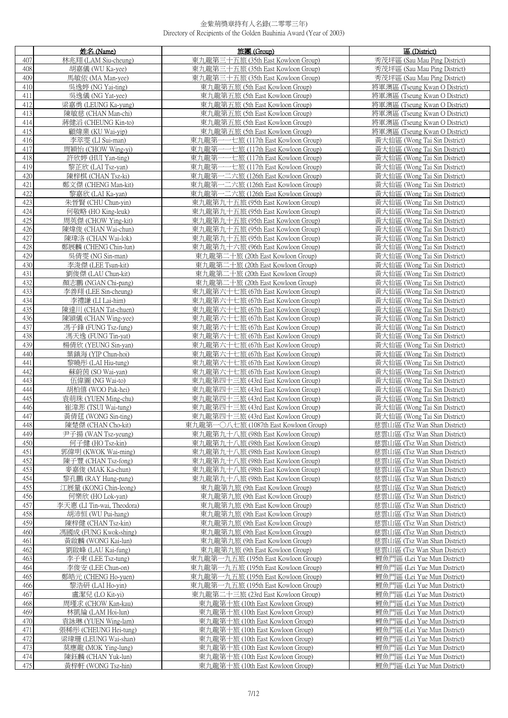|            | 姓名 (Name)                               | 旅團 (Group)                                                                 | 區 (District)                                                 |
|------------|-----------------------------------------|----------------------------------------------------------------------------|--------------------------------------------------------------|
| 407        | 林兆翔 (LAM Siu-cheung)                    | 東九龍第三十五旅 (35th East Kowloon Group)                                         | 秀茂坪區 (Sau Mau Ping District)                                 |
| 408        | 胡嘉儀 (WU Ka-yee)                         | 東九龍第三十五旅 (35th East Kowloon Group)                                         | 秀茂坪區 (Sau Mau Ping District)                                 |
| 409        | 馬敏依 (MA Man-yee)                        | 東九龍第三十五旅 (35th East Kowloon Group)                                         | 秀茂坪區 (Sau Mau Ping District)                                 |
| 410        | 吳逸婷 (NG Yai-ting)                       | 東九龍第五旅 (5th East Kowloon Group)                                            | 將軍澳區 (Tseung Kwan O District)                                |
| 411        | 吳逸儀 (NG Yat-yee)                        | 東九龍第五旅 (5th East Kowloon Group)                                            | 將軍澳區 (Tseung Kwan O District)                                |
| 412        | 梁嘉勇 (LEUNG Ka-yung)                     | 東九龍第五旅 (5th East Kowloon Group)                                            | 將軍澳區 (Tseung Kwan O District)                                |
| 413        | 陳敏慈 (CHAN Man-chi)                      | 東九龍第五旅 (5th East Kowloon Group)                                            | 將軍澳區 (Tseung Kwan O District)                                |
| 414        | 蔣健滔 (CHEUNG Kin-to)                     | 東九龍第五旅 (5th East Kowloon Group)                                            | 將軍澳區 (Tseung Kwan O District)                                |
| 415        | 顧煒業 (KU Wai-yip)                        | 東九龍第五旅 (5th East Kowloon Group)                                            | 將軍澳區 (Tseung Kwan O District)                                |
| 416        | 李萃 <u>雯(LI Sui-man)</u>                 | 東九龍第一一七旅 (117th East Kowloon Group)                                        | 黃大仙區 (Wong Tai Sin District)                                 |
| 417        | 周穎怡 (CHOW Wing-yi)                      | 東九龍第一一七旅 (117th East Kowloon Group)                                        | 黃大仙區 (Wong Tai Sin District)                                 |
| 418        | 許欣婷 (HUI Yan-ting)                      | 一七旅 (117th East Kowloon Group)<br>東九龍第一                                    | 黃大仙區 (Wong Tai Sin District)                                 |
| 419        | 黎芷欣 (LAI Tsz-yan)                       | 東九龍第一一七旅 (117th East Kowloon Group)                                        | 黃大仙區 (Wong Tai Sin District)                                 |
| 420        | 陳梓棋 (CHAN Tsz-ki)                       | 東九龍第一二六旅 (126th East Kowloon Group)                                        | 黃大仙區 (Wong Tai Sin District)                                 |
| 421        | 鄭文傑 (CHENG Man-kit)                     | 東九龍第一二六旅 (126th East Kowloon Group)                                        | 黃大仙區 (Wong Tai Sin District)                                 |
| 422        | 黎嘉欣 (LAI Ka-yan)                        | 東九龍第一二六旅 (126th East Kowloon Group)                                        | 黃大仙區 (Wong Tai Sin District)                                 |
| 423        | 朱晉賢 (CHU Chun-yin)                      | 東九龍第九十五旅 (95th East Kowloon Group)                                         | 黃大仙區 (Wong Tai Sin District)                                 |
| 424        | 何敬略 (HO King-leuk)                      | 東九龍第九十五旅 (95th East Kowloon Group)                                         | 黃大仙區 (Wong Tai Sin District)                                 |
| 425        | 周英傑 (CHOW Ying-kit)                     | 東九龍第九十五旅 (95th East Kowloon Group)                                         | 黃大仙區 (Wong Tai Sin District)                                 |
| 426        | 陳煒俊 (CHAN Wai-chun)                     | 東九龍第九十五旅 (95th East Kowloon Group)                                         | 黃大仙區 (Wong Tai Sin District)                                 |
| 427        | 陳瑋洛 (CHAN Wai-lok)                      | 東九龍第九十五旅 (95th East Kowloon Group)                                         | 黃大仙區 (Wong Tai Sin District)                                 |
| 428        | 鄭展麟 (CHENG Chin-lun)                    | 東九龍第九十六旅 (96th East Kowloon Group)                                         | 黃大仙區 (Wong Tai Sin District)                                 |
| 429        | 吳倩雯 (NG Sin-man)                        | 東九龍第二十旅 (20th East Kowloon Group)                                          | 黃大仙區 (Wong Tai Sin District)                                 |
| 430        | 李浚傑 (LEE Tsun-kit)                      | 東九龍第二十旅 (20th East Kowloon Group)                                          | 黃大仙區 (Wong Tai Sin District)                                 |
| 431        | 劉俊傑 (LAU Chun-kit)                      | 東九龍第二十旅 (20th East Kowloon Group)                                          | 黃大仙區 (Wong Tai Sin District)                                 |
| 432        | 顏志鵬 (NGAN Chi-pang)                     | 東九龍第二十旅 (20th East Kowloon Group)                                          | 黃大仙區 (Wong Tai Sin District)                                 |
| 433        | 李善翔 (LEE Sin-cheung)                    | 東九龍第六十七旅 (67th East Kowloon Group)                                         | 黃大仙區 (Wong Tai Sin District)                                 |
| 434        | 李禮謙 (LI Lai-him)                        | 東九龍第六十七旅 (67th East Kowloon Group)                                         | 黃大仙區 (Wong Tai Sin District)                                 |
| 435        | 陳達川 (CHAN Tat-chuen)                    | 東九龍第六十七旅 (67th East Kowloon Group)                                         | 黃大仙區 (Wong Tai Sin District)                                 |
| 436        | 陳頴儀 (CHAN Wing-yee)                     | 東九龍第六十七旅 (67th East Kowloon Group)                                         | 黃大仙區 (Wong Tai Sin District)                                 |
| 437        | 馮子鋒 (FUNG Tsz-fung)                     | 東九龍第六十七旅 (67th East Kowloon Group)                                         | 黃大仙區 (Wong Tai Sin District)                                 |
| 438        | 馮天逸 (FUNG Tin-yat)                      | 東九龍第六十七旅 (67th East Kowloon Group)                                         | 黃大仙區 (Wong Tai Sin District)                                 |
| 439        | 楊倩欣 (YEUNG Sin-yan)                     | 東九龍第六十七旅 (67th East Kowloon Group)                                         | 黃大仙區 (Wong Tai Sin District)                                 |
| 440        | 葉鎮海 (YIP Chun-hoi)                      | 東九龍第六十七旅 (67th East Kowloon Group)                                         | 黃大仙區 (Wong Tai Sin District)                                 |
| 441        | 黎曉彤 (LAI Hiu-tung)                      | 東九龍第六十七旅 (67th East Kowloon Group)                                         | 黃大仙區 (Wong Tai Sin District)                                 |
| 442<br>443 | 蘇蔚茵 (SO Wai-yan)                        | 東九龍第六十七旅 (67th East Kowloon Group)                                         | 黃大仙區 (Wong Tai Sin District)<br>黃大仙區 (Wong Tai Sin District) |
| 444        | 伍偉圖 (NG Wai-to)<br>胡柏僖 (WOO Pak-hei)    | 東九龍第四十三旅 (43rd East Kowloon Group)<br>東九龍第四十三旅 (43rd East Kowloon Group)   | 黃大仙區 (Wong Tai Sin District)                                 |
| 445        | 袁萌珠 (YUEN Ming-chu)                     | 東九龍第四十三旅 (43rd East Kowloon Group)                                         | 黃大仙區 (Wong Tai Sin District)                                 |
| 446        | 崔湋浵 (TSUI Wai-tung)                     | 東九龍第四十三旅 (43rd East Kowloon Group)                                         | 黃大仙區 (Wong Tai Sin District)                                 |
| 447        | 黃倩莛 (WONG Sin-ting)                     | 東九龍第四十三旅 (43rd East Kowloon Group)                                         | 黃大仙區 (Wong Tai Sin District)                                 |
| 448        | 陳楚傑 (CHAN Cho-kit)                      | 東九龍第一〇八七旅 (1087th East Kowloon Group)                                      | 慈雲山區 (Tsz Wan Shan District)                                 |
| 449        | 尹子揚 (WAN Tsz-yeung)                     | 東九龍第九十八旅 (98th East Kowloon Group)                                         | 慈雲山區 (Tsz Wan Shan District)                                 |
| 450        | 何子健 (HO Tsz-kin)                        | 東九龍第九十八旅 (98th East Kowloon Group)                                         | 慈雲山區 (Tsz Wan Shan District)                                 |
| 451        | 郭偉明 (KWOK Wai-ming)                     | 東九龍第九十八旅 (98th East Kowloon Group)                                         | 慈雲山區 (Tsz Wan Shan District)                                 |
| 452        | 陳子豐 (CHAN Tsz-fong)                     | 東九龍第九十八旅 (98th East Kowloon Group)                                         | 慈雲山區 (Tsz Wan Shan District)                                 |
| 453        | 麥嘉俊 (MAK Ka-chun)                       | 東九龍第九十八旅 (98th East Kowloon Group)                                         | 慈雲山區 (Tsz Wan Shan District)                                 |
| 454        | 黎孔鵬 (RAY Hung-pang)                     | 東九龍第九十八旅 (98th East Kowloon Group)                                         | 慈雲山區 (Tsz Wan Shan District)                                 |
| 455        | 江展量 (KONG Chin-leong)                   | 東九龍第九旅 (9th East Kowloon Group)                                            | 慈雲山區 (Tsz Wan Shan District)                                 |
| 456        | 何樂欣 (HO Lok-yan)                        | 東九龍第九旅 (9th East Kowloon Group)                                            | 慈雲山區 (Tsz Wan Shan District)                                 |
| 457        | 李天惠 (LI Tin-wai, Theodora)              | 東九龍第九旅 (9th East Kowloon Group)                                            | 慈雲山區 (Tsz Wan Shan District)                                 |
| 458        | 胡沛恒 (WU Pui-hang)                       | 東九龍第九旅 (9th East Kowloon Group)                                            | 慈雲山區 (Tsz Wan Shan District)                                 |
| 459        | 陳梓健 (CHAN Tsz-kin)                      | 東九龍第九旅 (9th East Kowloon Group)                                            | 慈雲山區 (Tsz Wan Shan District)                                 |
| 460        | 馮國成 (FUNG Kwok-shing)                   | 東九龍第九旅 (9th East Kowloon Group)                                            | 慈雲山區 (Tsz Wan Shan District)                                 |
| 461        | 黃啟麟 (WONG Kai-lun)                      | 東九龍第九旅 (9th East Kowloon Group)                                            | 慈雲山區 (Tsz Wan Shan District)                                 |
| 462        | 劉啟峰 (LAU Kai-fung)                      | 東九龍第九旅 (9th East Kowloon Group)                                            | 慈雲山區 (Tsz Wan Shan District)                                 |
| 463<br>464 | 李子東 (LEE Tsz-tung)<br>李俊安 (LEE Chun-on) | 東九龍第一九五旅 (195th East Kowloon Group)<br>東九龍第一九五旅 (195th East Kowloon Group) | 鯉魚門區 (Lei Yue Mun District)<br>鯉魚門區 (Lei Yue Mun District)   |
| 465        | 鄭皓元 (CHENG Ho-yuen)                     | 東九龍第一九五旅 (195th East Kowloon Group)                                        | 鯉魚門區 (Lei Yue Mun District)                                  |
| 466        | 黎浩研 (LAI Ho-yin)                        | 東九龍第一九五旅 (195th East Kowloon Group)                                        | 鯉魚門區 (Lei Yue Mun District)                                  |
| 467        | 盧潔兒 (LO Kit-yi)                         | 東九龍第二十三旅 (23rd East Kowloon Group)                                         | 鯉魚門區 (Lei Yue Mun District)                                  |
| 468        | 周瑾求 (CHOW Kan-kau)                      | 東九龍第十旅 (10th East Kowloon Group)                                           | 鯉魚門區 (Lei Yue Mun District)                                  |
| 469        | 林凱綸 (LAM Hoi-lun)                       | 東九龍第十旅 (10th East Kowloon Group)                                           | 鯉魚門區 (Lei Yue Mun District)                                  |
| 470        | 袁詠琳 (YUEN Wing-lam)                     | 東九龍第十旅 (10th East Kowloon Group)                                           | 鯉魚門區 (Lei Yue Mun District)                                  |
| 471        | 張稀彤 (CHEUNG Hei-tung)                   | 東九龍第十旅 (10th East Kowloon Group)                                           | 鯉魚門區 (Lei Yue Mun District)                                  |
| 472        | 梁瑋珊 (LEUNG Wai-shan)                    | 東九龍第十旅 (10th East Kowloon Group)                                           | 鯉魚門區 (Lei Yue Mun District)                                  |
| 473        | 莫應龍 (MOK Ying-lung)                     | 東九龍第十旅 (10th East Kowloon Group)                                           | 鯉魚門區 (Lei Yue Mun District)                                  |
| 474        | 陳鈺麟 (CHAN Yuk-lun)                      | 東九龍第十旅 (10th East Kowloon Group)                                           | 鯉魚門區 (Lei Yue Mun District)                                  |
| 475        | 黃梓軒 (WONG Tsz-hin)                      | 東九龍第十旅 (10th East Kowloon Group)                                           | 鯉魚門區 (Lei Yue Mun District)                                  |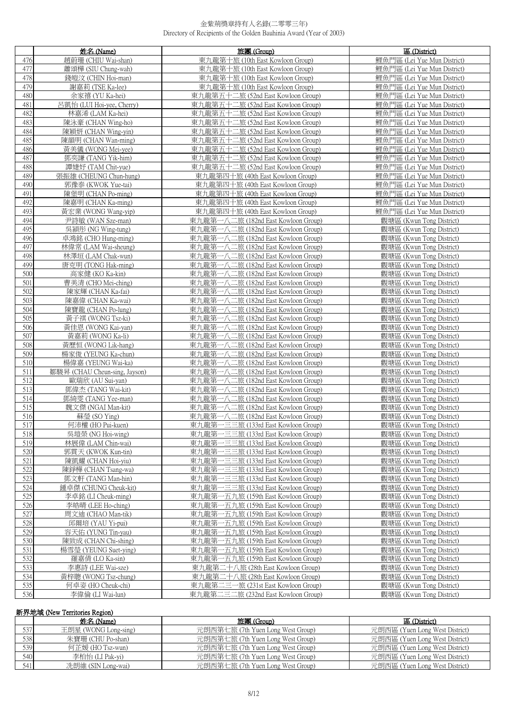|            | 姓名 (Name)                                | 旅團 (Group)                                                                 | 區 (District)                                         |
|------------|------------------------------------------|----------------------------------------------------------------------------|------------------------------------------------------|
| 476        | 趙蔚珊 (CHIU Wai-shan)                      | 東九龍第十旅 (10th East Kowloon Group)                                           | 鯉魚門區 (Lei Yue Mun District)                          |
| 477        | 蕭頌樺 (SIU Chung-wah)                      | 東九龍第十旅 (10th East Kowloon Group)                                           | 鯉魚門區 (Lei Yue Mun District)                          |
| 478        | 錢皚汶 (CHIN Hoi-man)                       | 東九龍第十旅 (10th East Kowloon Group)                                           | 鯉魚門區 (Lei Yue Mun District)                          |
| 479        | 謝嘉莉 (TSE Ka-lee)                         | 東九龍第十旅 (10th East Kowloon Group)                                           | 鯉魚門區 (Lei Yue Mun District)                          |
| 480        | 余家禧 (YU Ka-hei)                          | 東九龍第五十二旅 (52nd East Kowloon Group)                                         | 鯉魚門區 (Lei Yue Mun District)                          |
| 481        | 呂凱怡 (LUI Hoi-yee, Cherry)                | 東九龍第五十二旅 (52nd East Kowloon Group)                                         | 鯉魚門區 (Lei Yue Mun District)                          |
| 482        | 林嘉浠 (LAM Ka-hei)                         | 東九龍第五十二旅 (52nd East Kowloon Group)                                         | 鯉魚門區 (Lei Yue Mun District)                          |
| 483        | 陳泳豪 (CHAN Wing-ho)                       | 東九龍第五十二旅 (52nd East Kowloon Group)                                         | 鯉魚門區 (Lei Yue Mun District)                          |
| 484        | 陳穎妍 (CHAN Wing-yin)                      | 東九龍第五十二旅 (52nd East Kowloon Group)                                         | 鯉魚門區 (Lei Yue Mun District)                          |
| 485        | 陳韻明 (CHAN Wan-ming)                      | 東九龍第五十二旅 (52nd East Kowloon Group)                                         | 鯉魚門區 (Lei Yue Mun District)                          |
| 486        | 黃美儀 (WONG Mei-vee)                       | 東九龍第五十二旅 (52nd East Kowloon Group)                                         | 鯉魚門區 (Lei Yue Mun District)                          |
| 487        | 鄧奕謙 (TANG Yik-him)                       | 東九龍第五十二旅 (52nd East Kowloon Group)                                         | 鯉魚門區 (Lei Yue Mun District)                          |
| 488        | 譚婕妤 (TAM Chit-yue)                       | 東九龍第五十二旅 (52nd East Kowloon Group)                                         | 鯉魚門區 (Lei Yue Mun District)                          |
| 489        | 張振雄 (CHEUNG Chun-hung)                   | 東九龍第四十旅 (40th East Kowloon Group)                                          | 鯉魚門區 (Lei Yue Mun District)                          |
| 490        | 郭豫泰 (KWOK Yue-tai)                       | 東九龍第四十旅 (40th East Kowloon Group)                                          | 鯉魚門區 (Lei Yue Mun District)                          |
| 491        | 陳堡明 (CHAN Po-ming)                       | 東九龍第四十旅 (40th East Kowloon Group)                                          | 鯉魚門區 (Lei Yue Mun District)                          |
| 492        | 陳嘉明 (CHAN Ka-ming)                       | 東九龍第四十旅 (40th East Kowloon Group)                                          | 鯉魚門區 (Lei Yue Mun District)                          |
| 493        | 黃宏業 (WONG Wang-yip)                      | 東九龍第四十旅 (40th East Kowloon Group)                                          | 鯉魚門區 (Lei Yue Mun District)                          |
| 494        | 尹詩敏 (WAN Sze-man)                        | 東九龍第一八二旅 (182nd East Kowloon Group)                                        | 觀塘區 (Kwun Tong District)                             |
| 495        | 吳穎彤 (NG Wing-tung)                       | 東九龍第一八二旅 (182nd East Kowloon Group)                                        | 觀塘區 (Kwun Tong District)                             |
| 496        | 卓鴻銘 (CHO Hung-ming)                      | 東九龍第一八二旅 (182nd East Kowloon Group)                                        | 觀塘區 (Kwun Tong District)                             |
| 497        | 林偉常 (LAM Wai-sheung)                     | 東九龍第一八二旅 (182nd East Kowloon Group)                                        | 觀塘區 (Kwun Tong District)                             |
| 498        | 林澤垣 (LAM Chak-wun)                       | 東九龍第一八二旅 (182nd East Kowloon Group)                                        | 觀塘區 (Kwun Tong District)                             |
| 499        | 唐克明 (TONG Hak-ming)                      | 東九龍第一八二旅 (182nd East Kowloon Group)                                        | 觀塘區 (Kwun Tong District)                             |
| 500        | 高家健 (KO Ka-kin)                          | 東九龍第一八二旅 (182nd East Kowloon Group)                                        | 觀塘區 (Kwun Tong District)                             |
| 501        | 曹美清 (CHO Mei-ching)                      | 東九龍第一八二旅 (182nd East Kowloon Group)                                        | 觀塘區 (Kwun Tong District)                             |
| 502        | 陳家輝 (CHAN Ka-fai)                        | 東九龍第一八二旅 (182nd East Kowloon Group)                                        | 觀塘區 (Kwun Tong District)                             |
| 503        | 陳嘉偉 (CHAN Ka-wai)                        | 東九龍第一八二旅 (182nd East Kowloon Group)                                        | 觀塘區 (Kwun Tong District)                             |
| 504        | 陳寶龍 (CHAN Po-lung)                       | 東九龍第一八二旅 (182nd East Kowloon Group)                                        | 觀塘區 (Kwun Tong District)                             |
| 505        | 黃子祺 (WONG Tsz-ki)                        | 東九龍第一八二旅 (182nd East Kowloon Group)                                        | 觀塘區 (Kwun Tong District)                             |
| 506        | 黃佳恩 (WONG Kai-yan)                       | 東九龍第一八二旅 (182nd East Kowloon Group)                                        | 觀塘區 (Kwun Tong District)                             |
| 507        | 黃嘉莉 (WONG Ka-li)                         | 東九龍第一八二旅 (182nd East Kowloon Group)                                        | 觀塘區 (Kwun Tong District)                             |
| 508        | 黃歷恒 (WONG Lik-hang)                      | 東九龍第一八二旅 (182nd East Kowloon Group)                                        | 觀塘區 (Kwun Tong District)                             |
| 509        | 楊家俊 (YEUNG Ka-chun)                      | 東九龍第一八二旅 (182nd East Kowloon Group)                                        | 觀塘區 (Kwun Tong District)                             |
| 510        | 楊偉嘉 (YEUNG Wai-ka)                       | 東九龍第一八二旅 (182nd East Kowloon Group)                                        | 觀塘區 (Kwun Tong District)                             |
| 511        | 鄒駿昇 (CHAU Cheun-sing, Jayson)            | 東九龍第一八二旅 (182nd East Kowloon Group)                                        | 觀塘區 (Kwun Tong District)                             |
| 512        | 歐瑞欣 (AU Sui-yan)                         | 東九龍第一八二旅 (182nd East Kowloon Group)                                        | 觀塘區 (Kwun Tong District)                             |
| 513        | 鄧偉杰 (TANG Wai-kit)                       | 東九龍第一八二旅 (182nd East Kowloon Group)                                        | 觀塘區 (Kwun Tong District)                             |
| 514        | 鄧綺雯 (TANG Yee-man)                       | 東九龍第一八二旅 (182nd East Kowloon Group)                                        | 觀塘區 (Kwun Tong District)                             |
| 515        | 魏文傑 (NGAI Man-kit)                       | 東九龍第一八二旅 (182nd East Kowloon Group)                                        | 觀塘區 (Kwun Tong District)                             |
| 516        | 蘇瑩 (SO Ying)                             | 東九龍第一八二旅 (182nd East Kowloon Group)                                        | 觀塘區 (Kwun Tong District)                             |
| 517        | 何沛權 (HO Pui-kuen)                        | 東九龍第一三三旅 (133rd East Kowloon Group)                                        | 觀塘區 (Kwun Tong District)                             |
| 518        | 吳塏榮 (NG Hoi-wing)                        | 東九龍第一三三旅 (133rd East Kowloon Group)                                        | 觀塘區 (Kwun Tong District)                             |
| 519        | 林展偉 (LAM Chin-wai)                       | 東九龍第一三三旅 (133rd East Kowloon Group)                                        | 觀塘區 (Kwun Tong District)                             |
| 520<br>521 | 郭貫天 (KWOK Kun-tin)                       | 東九龍第一三三旅 (133rd East Kowloon Group)<br>東九龍第一三三旅 (133rd East Kowloon Group) | 觀塘區 (Kwun Tong District)                             |
| 522        | 陳凱耀 (CHAN Hoi-yiu)                       |                                                                            | 觀塘區 (Kwun Tong District)                             |
| 523        | 陳錚樺 (CHAN Tsang-wa)                      | 東九龍第一三三旅 (133rd East Kowloon Group)<br>東九龍第一三三旅 (133rd East Kowloon Group) | 觀塘區 (Kwun Tong District)                             |
| 524        | 鄧文軒 (TANG Man-hin)                       | 東九龍第一三三旅 (133rd East Kowloon Group)                                        | 觀塘區 (Kwun Tong District)<br>觀塘區 (Kwun Tong District) |
| 525        | 鍾卓傑 (CHUNG Cheuk-kit)                    |                                                                            |                                                      |
|            | 李卓銘 (LI Cheuk-ming)                      | 東九龍第一五九旅 (159th East Kowloon Group)                                        | 觀塘區 (Kwun Tong District)                             |
| 526<br>527 | 李皓晴 (LEE Ho-ching)<br>周文迪 (CHAO Man-tik) | 東九龍第一五九旅 (159th East Kowloon Group)                                        | 觀塘區 (Kwun Tong District)                             |
| 528        | 邱爾培 (YAU Yi-pui)                         | 東九龍第一五九旅 (159th East Kowloon Group)<br>東九龍第一五九旅 (159th East Kowloon Group) | 觀塘區 (Kwun Tong District)<br>觀塘區 (Kwun Tong District) |
| 529        | 容天佑 (YUNG Tin-yau)                       | 東九龍第一五九旅 (159th East Kowloon Group)                                        | 觀塘區 (Kwun Tong District)                             |
| 530        | 陳致成 (CHAN Chi-shing)                     | 東九龍第一五九旅 (159th East Kowloon Group)                                        | 觀塘區 (Kwun Tong District)                             |
| 531        | 楊雪瑩 (YEUNG Suet-ying)                    | 東九龍第一五九旅 (159th East Kowloon Group)                                        | 觀塘區 (Kwun Tong District)                             |
| 532        | 羅嘉倩 (LO Ka-sin)                          | 東九龍第一五九旅 (159th East Kowloon Group)                                        | 觀塘區 (Kwun Tong District)                             |
| 533        | 李惠詩 (LEE Wai-sze)                        | 東九龍第二十八旅 (28th East Kowloon Group)                                         | 觀塘區 (Kwun Tong District)                             |
| 534        | 黃梓聰 (WONG Tsz-chung)                     | 東九龍第二十八旅 (28th East Kowloon Group)                                         | 觀塘區 (Kwun Tong District)                             |
| 535        | 何卓姿 (HO Cheuk-chi)                       | 東九龍第二三一旅 (231st East Kowloon Group)                                        | 觀塘區 (Kwun Tong District)                             |
| 536        | 李偉倫 (LI Wai-lun)                         | 東九龍第二三二旅 (232nd East Kowloon Group)                                        | 觀塘區 (Kwun Tong District)                             |
|            |                                          |                                                                            |                                                      |

# 新界地域 (New Territories Region)

|     | 姓名 (Name)            | 旅團 (Group)                        | 區 (District)                   |
|-----|----------------------|-----------------------------------|--------------------------------|
| 537 | 王朗星 (WONG Long-sing) | 元朗西第七旅 (7th Yuen Long West Group) | 元朗西區 (Yuen Long West District) |
| 538 | 朱寶珊 (CHU Po-shan)    | 元朗西第七旅 (7th Yuen Long West Group) | 元朗西區 (Yuen Long West District) |
| 539 | 何芷媛 (HO Tsz-wun)     | 元朗西第七旅 (7th Yuen Long West Group) | 元朗西區 (Yuen Long West District) |
| 540 | 李柏怡 (LI Pak-vi)      | 元朗西第七旅 (7th Yuen Long West Group) | 元朗西區 (Yuen Long West District) |
| 541 | 冼朗維 (SIN Long-wai)   | 元朗西第七旅 (7th Yuen Long West Group) | 元朗西區 (Yuen Long West District) |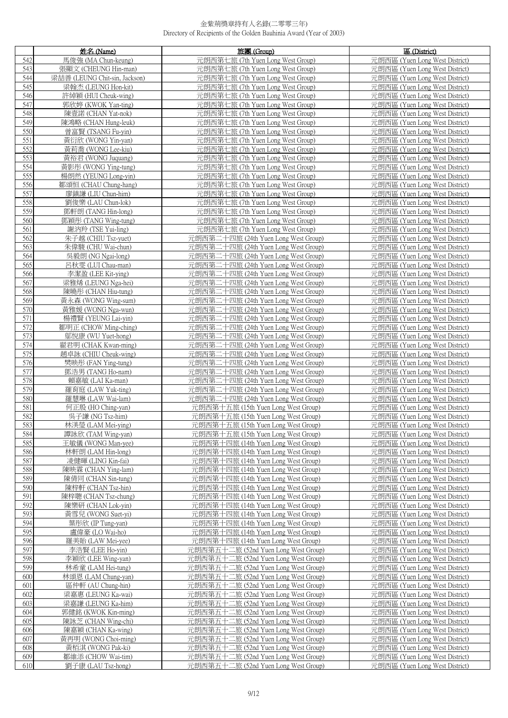|            | 姓名 (Name)                                 | 旅團 (Group)                                                                   | 區 (District)                                                     |
|------------|-------------------------------------------|------------------------------------------------------------------------------|------------------------------------------------------------------|
| 542        | 馬俊強 (MA Chun-keung)                       | 元朗西第七旅 (7th Yuen Long West Group)                                            | 元朗西區 (Yuen Long West District)                                   |
| 543        | 張顯文 (CHEUNG Hin-man)                      | 元朗西第七旅 (7th Yuen Long West Group)                                            | 元朗西區 (Yuen Long West District)                                   |
| 544        | 梁喆善 (LEUNG Chit-sin, Jackson)             | 元朗西第七旅 (7th Yuen Long West Group)                                            | 元朗西區 (Yuen Long West District)                                   |
| 545        | 梁翰杰 (LEUNG Hon-kit)                       | 元朗西第七旅 (7th Yuen Long West Group)                                            | 元朗西區 (Yuen Long West District)                                   |
| 546        | 許綽穎 (HUI Cheuk-wing)                      | 元朗西第七旅 (7th Yuen Long West Group)                                            | 元朗西區 (Yuen Long West District)                                   |
| 547        | 郭欣婷 (KWOK Yan-ting)                       | 元朗西第七旅 (7th Yuen Long West Group)                                            | 元朗西區 (Yuen Long West District)                                   |
| 548        | 陳壹諾 (CHAN Yat-nok)                        | 元朗西第七旅 (7th Yuen Long West Group)                                            | 元朗西區 (Yuen Long West District)                                   |
| 549        | 陳鴻略 (CHAN Hung-leuk)                      | 元朗西第七旅 (7th Yuen Long West Group)                                            | 元朗西區 (Yuen Long West District)                                   |
| 550        | 曾富賢 (TSANG Fu-yin)                        | 元朗西第七旅 (7th Yuen Long West Group)                                            | 元朗西區 (Yuen Long West District)                                   |
| 551        | 黃衍欣 (WONG Yin-yan)                        | 元朗西第七旅 (7th Yuen Long West Group)                                            | 元朗西區 (Yuen Long West District)                                   |
| 552        | 黃莉喬 (WONG Lee-kiu)                        | 元朗西第七旅 (7th Yuen Long West Group)                                            | 元朗西區 (Yuen Long West District)                                   |
| 553        | 黃裕君 (WONG Juquang)                        | 元朗西第七旅 (7th Yuen Long West Group)                                            | 元朗西區 (Yuen Long West District)                                   |
| 554        | 黃影彤 (WONG Ying-tung)                      | 元朗西第七旅 (7th Yuen Long West Group)                                            | 元朗西區 (Yuen Long West District)                                   |
| 555        | 楊朗然 (YEUNG Long-yin)                      | 元朗西第七旅 (7th Yuen Long West Group)                                            | 元朗西區 (Yuen Long West District)                                   |
| 556        | 鄒頌恒 (CHAU Chung-hang)                     | 元朗西第七旅 (7th Yuen Long West Group)                                            | 元朗西區 (Yuen Long West District)                                   |
| 557        | 廖鎮謙 (LIU Chun-him)                        | 元朗西第七旅 (7th Yuen Long West Group)                                            | 元朗西區 (Yuen Long West District)                                   |
| 558        | 劉俊樂 (LAU Chun-lok)                        | 元朗西第七旅 (7th Yuen Long West Group)                                            | 元朗西區 (Yuen Long West District)                                   |
| 559        | 鄧軒朗 (TANG Hin-long)                       | 元朗西第七旅 (7th Yuen Long West Group)                                            | 元朗西區 (Yuen Long West District)                                   |
| 560        | 鄧穎彤 (TANG Wing-tung)                      | 元朗西第七旅 (7th Yuen Long West Group)                                            | 元朗西區 (Yuen Long West District)                                   |
| 561        | 謝汭羚 (TSE Yui-ling)                        | 元朗西第七旅 (7th Yuen Long West Group)                                            | 元朗西區 (Yuen Long West District)                                   |
| 562        | 朱子越 (CHIU Tsz-yuet)                       | 元朗西第二十四旅 (24th Yuen Long West Group)                                         | 元朗西區 (Yuen Long West District)                                   |
| 563        | 朱偉駿 (CHU Wai-chun)                        | 元朗西第二十四旅 (24th Yuen Long West Group)                                         | 元朗西區 (Yuen Long West District)                                   |
| 564        | 吳毅朗 (NG Ngai-long)                        | 元朗西第二十四旅 (24th Yuen Long West Group)                                         | 元朗西區 (Yuen Long West District)                                   |
| 565        | 呂秋雯 (LUI Chau-man)                        | 元朗西第二十四旅 (24th Yuen Long West Group)                                         | 元朗西區 (Yuen Long West District)                                   |
| 566        | 李潔盈 (LEE Kit-ying)                        | 元朗西第二十四旅 (24th Yuen Long West Group)                                         | 元朗西區 (Yuen Long West District)                                   |
| 567        | 梁雅烯 (LEUNG Nga-hei)                       | 元朗西第二十四旅 (24th Yuen Long West Group)                                         | 元朗西區 (Yuen Long West District)                                   |
| 568        | 陳曉彤 (CHAN Hiu-tung)                       | 元朗西第二十四旅 (24th Yuen Long West Group)                                         | 元朗西區 (Yuen Long West District)                                   |
| 569<br>570 | 黃永森 (WONG Wing-sum)                       | 元朗西第二十四旅 (24th Yuen Long West Group)                                         | 元朗西區 (Yuen Long West District)                                   |
| 571        | 黃雅媛 (WONG Nga-wun)<br>楊禮賢 (YEUNG Lai-yin) | 元朗西第二十四旅 (24th Yuen Long West Group)<br>元朗西第二十四旅 (24th Yuen Long West Group) | 元朗西區 (Yuen Long West District)<br>元朗西區 (Yuen Long West District) |
| 572        | 鄒明正 (CHOW Ming-ching)                     | 元朗西第二十四旅 (24th Yuen Long West Group)                                         | 元朗西區 (Yuen Long West District)                                   |
| 573        | 鄔悅康 (WU Yuet-hong)                        | 元朗西第二十四旅 (24th Yuen Long West Group)                                         | 元朗西區 (Yuen Long West District)                                   |
| 574        | 翟君明 (CHAK Kwan-ming)                      | 元朗西第二十四旅 (24th Yuen Long West Group)                                         | 元朗西區 (Yuen Long West District)                                   |
| 575        | 趙卓詠 (CHIU Cheuk-wing)                     | 元朗西第二十四旅 (24th Yuen Long West Group)                                         | 元朗西區 (Yuen Long West District)                                   |
| 576        | 樊映彤 (FAN Ying-tung)                       | 元朗西第二十四旅 (24th Yuen Long West Group)                                         | 元朗西區 (Yuen Long West District)                                   |
| 577        | 鄧浩男 (TANG Ho-nam)                         | 元朗西第二十四旅 (24th Yuen Long West Group)                                         | 元朗西區 (Yuen Long West District)                                   |
| 578        | 賴嘉敏 (LAI Ka-man)                          | 元朗西第二十四旅 (24th Yuen Long West Group)                                         | 元朗西區 (Yuen Long West District)                                   |
| 579        | 羅育庭 (LAW Yuk-ting)                        | 元朗西第二十四旅 (24th Yuen Long West Group)                                         | 元朗西區 (Yuen Long West District)                                   |
| 580        | 羅慧琳 (LAW Wai-lam)                         | 元朗西第二十四旅 (24th Yuen Long West Group)                                         | 元朗西區 (Yuen Long West District)                                   |
| 581        | 何正殷 (HO Ching-yan)                        | 元朗西第十五旅 (15th Yuen Long West Group)                                          | 元朗西區 (Yuen Long West District)                                   |
| 582        | 吳子謙 (NG Tsz-him)                          | 元朗西第十五旅 (15th Yuen Long West Group)                                          | 元朗西區 (Yuen Long West District)                                   |
| 583        | 林渼瑩 (LAM Mei-ying)                        | 元朗西第十五旅 (15th Yuen Long West Group)                                          | 元朗西區 (Yuen Long West District)                                   |
| 584        | 譚詠欣 (TAM Wing-yan)                        | 元朗西第十五旅 (15th Yuen Long West Group)<br>元朗西第十四旅 (14th Yuen Long West Group)   | 元朗西區 (Yuen Long West District)                                   |
| 585<br>586 | 王敏儀 (WONG Man-yee)<br>林軒朗 (LAM Hin-long)  | 元朗西第十四旅 (14th Yuen Long West Group)                                          | 元朗西區 (Yuen Long West District)<br>元朗西區 (Yuen Long West District) |
| 587        | 凌健暉 (LING Kin-fai)                        | 元朗西第十四旅 (14th Yuen Long West Group)                                          | 元朗西區 (Yuen Long West District)                                   |
| 588        | 陳映霖 (CHAN Ying-lam)                       | 元朗西第十四旅 (14th Yuen Long West Group)                                          | 元朗西區 (Yuen Long West District)                                   |
| 589        | 陳倩同 (CHAN Sin-tung)                       | 元朗西第十四旅 (14th Yuen Long West Group)                                          | 元朗西區 (Yuen Long West District)                                   |
| 590        | 陳梓軒 (CHAN Tsz-hin)                        | 元朗西第十四旅 (14th Yuen Long West Group)                                          | 元朗西區 (Yuen Long West District)                                   |
| 591        | 陳梓聰 (CHAN Tsz-chung)                      | 元朗西第十四旅 (14th Yuen Long West Group)                                          | 元朗西區 (Yuen Long West District)                                   |
| 592        | 陳樂研 (CHAN Lok-yin)                        | 元朗西第十四旅 (14th Yuen Long West Group)                                          | 元朗西區 (Yuen Long West District)                                   |
| 593        | 黃雪兒 (WONG Suet-yi)                        | 元朗西第十四旅 (14th Yuen Long West Group)                                          | 元朗西區 (Yuen Long West District)                                   |
| 594        | 葉彤欣 (IP Tung-yan)                         | 元朗西第十四旅 (14th Yuen Long West Group)                                          | 元朗西區 (Yuen Long West District)                                   |
| 595        | 盧偉豪 (LO Wai-ho)                           | 元朗西第十四旅 (14th Yuen Long West Group)                                          | 元朗西區 (Yuen Long West District)                                   |
| 596        | 羅美貽 (LAW Mei-yee)                         | 元朗西第十四旅 (14th Yuen Long West Group)                                          | 元朗西區 (Yuen Long West District)                                   |
| 597        | 李浩賢 (LEE Ho-yin)                          | 元朗西第五十二旅 (52nd Yuen Long West Group)                                         | 元朗西區 (Yuen Long West District)                                   |
| 598        | 李穎欣 (LEE Wing-yan)                        | 元朗西第五十二旅 (52nd Yuen Long West Group)                                         | 元朗西區 (Yuen Long West District)                                   |
| 599        | 林希童 (LAM Hei-tung)                        | 元朗西第五十二旅 (52nd Yuen Long West Group)                                         | 元朗西區 (Yuen Long West District)                                   |
| 600        | 林頌恩 (LAM Chung-yan)                       | 元朗西第五十二旅 (52nd Yuen Long West Group)                                         | 元朗西區 (Yuen Long West District)                                   |
| 601        | 區仲軒 (AU Chung-hin)                        | 元朗西第五十二旅 (52nd Yuen Long West Group)                                         | 元朗西區 (Yuen Long West District)                                   |
| 602        | 梁嘉惠 (LEUNG Ka-wai)                        | 元朗西第五十二旅 (52nd Yuen Long West Group)                                         | 元朗西區 (Yuen Long West District)                                   |
| 603<br>604 | 梁嘉謙 (LEUNG Ka-him)<br>郭健銘 (KWOK Kin-ming) | 元朗西第五十二旅 (52nd Yuen Long West Group)<br>元朗西第五十二旅 (52nd Yuen Long West Group) | 元朗西區 (Yuen Long West District)<br>元朗西區 (Yuen Long West District) |
| 605        | 陳詠芝 (CHAN Wing-chi)                       | 元朗西第五十二旅 (52nd Yuen Long West Group)                                         | 元朗西區 (Yuen Long West District)                                   |
| 606        | 陳嘉穎 (CHAN Ka-wing)                        | 元朗西第五十二旅 (52nd Yuen Long West Group)                                         | 元朗西區 (Yuen Long West District)                                   |
| 607        | 黃再明 (WONG Choi-ming)                      | 元朗西第五十二旅 (52nd Yuen Long West Group)                                         | 元朗西區 (Yuen Long West District)                                   |
| 608        | 黃栢淇 (WONG Pak-ki)                         | 元朗西第五十二旅 (52nd Yuen Long West Group)                                         | 元朗西區 (Yuen Long West District)                                   |
| 609        | 鄒維添 (CHOW Wai-tim)                        | 元朗西第五十二旅 (52nd Yuen Long West Group)                                         | 元朗西區 (Yuen Long West District)                                   |
| 610        | 劉子康 (LAU Tsz-hong)                        | 元朗西第五十二旅 (52nd Yuen Long West Group)                                         | 元朗西區 (Yuen Long West District)                                   |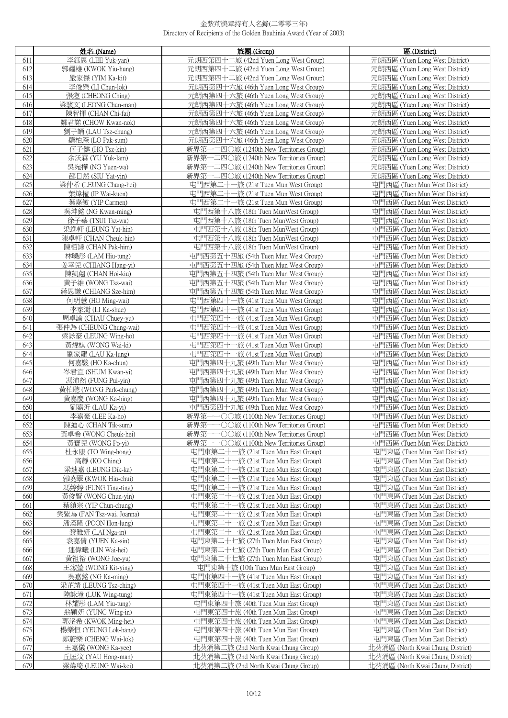|            | 姓名 (Name)                                  | 旅團 (Group)                                                                         | 區 (District)                                                   |
|------------|--------------------------------------------|------------------------------------------------------------------------------------|----------------------------------------------------------------|
| 611        | 李鈺恩 (LEE Yuk-yan)                          | 元朗西第四十二旅 (42nd Yuen Long West Group)                                               | 元朗西區 (Yuen Long West District)                                 |
| 612        | 郭耀雄 (KWOK Yiu-hung)                        | 元朗西第四十二旅 (42nd Yuen Long West Group)                                               | 元朗西區 (Yuen Long West District)                                 |
| 613        | 嚴家傑 (YIM Ka-kit)                           | 元朗西第四十二旅 (42nd Yuen Long West Group)                                               | 元朗西區 (Yuen Long West District)                                 |
| 614        | 李俊 <u>樂(LI Chun-lok)</u>                   | 元朗西第四十六旅 (46th Yuen Long West Group)                                               | 元朗西區 (Yuen Long West District)                                 |
| 615        | 張澄 (CHEONG Ching)                          | 元朗西第四十六旅 (46th Yuen Long West Group)                                               | 元朗西區 (Yuen Long West District)                                 |
| 616        | 梁駿文 (LEONG Chun-man)                       | 元朗西第四十六旅 (46th Yuen Long West Group)                                               | 元朗西區 (Yuen Long West District)                                 |
| 617        | 陳智揮 (CHAN Chi-fai)                         | 元朗西第四十六旅 (46th Yuen Long West Group)                                               | 元朗西區 (Yuen Long West District)                                 |
| 618        | 鄒君諾 (CHOW Kwan-nok)                        | 元朗西第四十六旅 (46th Yuen Long West Group)                                               | 元朗西區 (Yuen Long West District)                                 |
| 619        | 劉子誦 (LAU Tsz-chung)                        | 元朗西第四十六旅 (46th Yuen Long West Group)                                               | 元朗西區 (Yuen Long West District)                                 |
| 620        | 羅柏深 (LO Pak-sum)                           | 元朗西第四十六旅 (46th Yuen Long West Group)                                               | 元朗西區 (Yuen Long West District)                                 |
| 621        | 何子健 (HO Tsz-kin)                           | 新界第一二四〇旅 (1240th New Territories Group)                                            | 元朗西區 (Yuen Long West District)                                 |
| 622        | 余沃霖 (YU Yuk-lam)                           | 新界第一二四〇旅 (1240th New Territories Group)                                            | 元朗西區 (Yuen Long West District)                                 |
| 623        | 吳宛樺 (NG Yuen-wa)                           | 新界第一二四〇旅 (1240th New Territories Group)                                            | 元朗西區 (Yuen Long West District)                                 |
| 624        | 邵日然 (SIU Yat-yin)                          | 新界第一二四〇旅 (1240th New Territories Group)                                            | 元朗西區 (Yuen Long West District)                                 |
| 625        | 梁仲希 (LEUNG Chung-hei)                      | 屯門西第二十一旅 (21st Tuen Mun West Group)                                                | 屯門西區 (Tuen Mun West District)                                  |
| 626        | 葉煒權 (IP Wai-kuen)                          | 屯門西第二十一旅 (21st Tuen Mun West Group)                                                | 屯門西區 (Tuen Mun West District)                                  |
| 627        | 葉嘉敏 (YIP Carmen)                           | 屯門西第二十一旅 (21st Tuen Mun West Group)                                                | 屯門西區 (Tuen Mun West District)                                  |
| 628        | 吳坤銘 (NG Kwan-ming)                         | 屯門西第十八旅 (18th Tuen MunWest Group)                                                  | 屯門西區 (Tuen Mun West District)                                  |
| 629        | 徐子華 (TSUI Tsz-wa)                          | 屯門西第十八旅 (18th Tuen MunWest Group)                                                  | 屯門西區 (Tuen Mun West District)                                  |
| 630        | 梁逸軒 (LEUNG Yat-hin)                        | 屯門西第十八旅 (18th Tuen MunWest Group)                                                  | 屯門西區 (Tuen Mun West District)                                  |
| 631        | 陳卓軒 (CHAN Cheuk-hin)                       | 屯門西第十八旅 (18th Tuen MunWest Group)                                                  | 屯門西區 (Tuen Mun West District)                                  |
| 632        | 陳栢謙 (CHAN Pak-him)                         | 屯門西第十八旅 (18th Tuen MunWest Group)                                                  | 屯門西區 (Tuen Mun West District)                                  |
| 633        | 林曉彤 (LAM Hiu-tung)                         | 屯門西第五十四旅 (54th Tuen Mun West Group)                                                | 屯門西區 (Tuen Mun West District)                                  |
| 634        | 姜幸兒 (CHIANG Hang-yi)                       | 屯門西第五十四旅 (54th Tuen Mun West Group)                                                | 屯門西區 (Tuen Mun West District)                                  |
| 635        | 陳凱翹 (CHAN Hoi-kiu)                         | 屯門西第五十四旅 (54th Tuen Mun West Group)                                                | 屯門西區 (Tuen Mun West District)                                  |
| 636<br>637 | 黃子維 (WONG Tsz-wai)                         | 屯門西第五十四旅 (54th Tuen Mun West Group)                                                | 屯門西區 (Tuen Mun West District)                                  |
| 638        | 蔣思謙 (CHIANG Sze-him)<br>何明慧 (HO Ming-wai)  | 屯門西第五十四旅 (54th Tuen Mun West Group)<br>屯門西第四十一旅 (41st Tuen Mun West Group)         | 屯門西區 (Tuen Mun West District)<br>屯門西區 (Tuen Mun West District) |
| 639        | 李家澍 (LI Ka-shue)                           | 屯門西第四十一旅 (41st Tuen Mun West Group)                                                | 屯門西區 (Tuen Mun West District)                                  |
| 640        | 周卓諭 (CHAU Chuey-yu)                        | 屯門西第四十一旅 (41st Tuen Mun West Group)                                                | 屯門西區 (Tuen Mun West District)                                  |
| 641        | 張仲為 (CHEUNG Chung-wai)                     | 屯門西第四十一旅 (41st Tuen Mun West Group)                                                | 屯門西區 (Tuen Mun West District)                                  |
| 642        | 梁詠豪 (LEUNG Wing-ho)                        | 屯門西第四十一旅 (41st Tuen Mun West Group)                                                | 屯門西區 (Tuen Mun West District)                                  |
| 643        | 黃煒棋 (WONG Wai-ki)                          | 屯門西第四十一旅 (41st Tuen Mun West Group)                                                | 屯門西區 (Tuen Mun West District)                                  |
| 644        | 劉家龍 (LAU Ka-lung)                          | 屯門西第四十一旅 (41st Tuen Mun West Group)                                                | 屯門西區 (Tuen Mun West District)                                  |
| 645        | 何嘉駿 (HO Ka-chun)                           | 屯門西第四十九旅 (49th Tuen Mun West Group)                                                | 屯門西區 (Tuen Mun West District)                                  |
| 646        | 岑君宜 (SHUM Kwan-yi)                         | 屯門西第四十九旅 (49th Tuen Mun West Group)                                                | 屯門西區 (Tuen Mun West District)                                  |
| 647        | 馮沛然 (FUNG Pui-yin)                         | 屯門西第四十九旅 (49th Tuen Mun West Group)                                                | 屯門西區 (Tuen Mun West District)                                  |
| 648        | 黃柏聰 (WONG Park-chung)                      | 屯門西第四十九旅 (49th Tuen Mun West Group)                                                | 屯門西區 (Tuen Mun West District)                                  |
| 649        | 黃嘉慶 (WONG Ka-hing)                         | 屯門西第四十九旅 (49th Tuen Mun West Group)                                                | 屯門西區 (Tuen Mun West District)                                  |
| 650        | 劉嘉沂 (LAU Ka-yi)                            | 屯門西第四十九旅 (49th Tuen Mun West Group)                                                | 屯門西區 (Tuen Mun West District)                                  |
| 651<br>652 | 李嘉豪 (LEE Ka-ho)                            | 新界第一一〇〇旅 (1100th New Territories Group)                                            | 屯門西區 (Tuen Mun West District)<br>屯門西區 (Tuen Mun West District) |
| 653        | 陳迪心 (CHAN Tik-sum)<br>黃卓希 (WONG Cheuk-hei) | 新界第一一〇〇旅 (1100th New Territories Group)<br>新界第一一○○旅 (1100th New Territories Group) | 屯門西區 (Tuen Mun West District)                                  |
| 654        | 黃寶兒 (WONG Po-vi)                           | 新界第<br>-〇〇旅 (1100th New Territories Group)                                         | 屯門西區 (Tuen Mun West District)                                  |
| 655        | 杜永康 (TO Wing-hong)                         | 屯門東第二十一旅 (21st Tuen Mun East Group)                                                | 屯門東區 (Tuen Mun East District)                                  |
| 656        | 高靜 (KO Ching)                              | 屯門東第二十<br>一旅 (21st Tuen Mun East Group)                                            | 屯門東區 (Tuen Mun East District)                                  |
| 657        | 梁迪嘉 (LEUNG Dik-ka)                         | 一旅 (21st Tuen Mun East Group)<br>屯門東第二十                                            | 屯門東區 (Tuen Mun East District)                                  |
| 658        | 郭曉翠 (KWOK Hiu-chui)                        | 屯門東第二十<br>一旅 (21st Tuen Mun East Group)                                            | 屯門東區 (Tuen Mun East District)                                  |
| 659        | 馮婷婷 (FUNG Ting-ting)                       | 一旅 (21st Tuen Mun East Group)<br>屯門東第二十                                            | 屯門東區 (Tuen Mun East District)                                  |
| 660        | 黃俊賢 (WONG Chun-yin)                        | 屯門東第<br>-旅 (21st Tuen Mun East Group)                                              | 屯門東區 (Tuen Mun East District)                                  |
| 661        | 葉鎮宗 (YIP Chun-chung)                       | 屯門東第二十<br>一旅 (21st Tuen Mun East Group)                                            | 屯門東區 (Tuen Mun East District)                                  |
| 662        | 樊紫為 (FAN Tsz-wai, Joanna)                  | 屯門東第二十<br>一旅 (21st Tuen Mun East Group)                                            | 屯門東區 (Tuen Mun East District)                                  |
| 663        | 潘漢隆 (POON Hon-lung)                        | 屯門東第二十<br>一旅 (21st Tuen Mun East Group)                                            | 屯門東區 (Tuen Mun East District)                                  |
| 664        | 黎雅妍 (LAI Nga-in)                           | 屯門東第二十<br>-旅 (21st Tuen Mun East Group)                                            | 屯門東區 (Tuen Mun East District)                                  |
| 665<br>666 | 袁嘉倩 (YUEN Ka-sin)<br>連偉曦 (LIN Wai-hei)     | 屯門東第二十七旅 (27th Tuen Mun East Group)<br>屯門東第二十七旅 (27th Tuen Mun East Group)         | 屯門東區 (Tuen Mun East District)<br>屯門東區 (Tuen Mun East District) |
| 667        | 黃祖裕 (WONG Joe-yu)                          | 屯門東第二十七旅 (27th Tuen Mun East Group)                                                | 屯門東區 (Tuen Mun East District)                                  |
| 668        | 王潔瑩 (WONG Kit-ying)                        | 屯門東第十旅 (10th Tuen Mun East Group)                                                  | 屯門東區 (Tuen Mun East District)                                  |
| 669        | 吳嘉銘 (NG Ka-ming)                           | 屯門東第四十一旅 (41st Tuen Mun East Group)                                                | 屯門東區 (Tuen Mun East District)                                  |
| 670        | 梁芷靖 (LEUNG Tsz-ching)                      | 屯門東第四十一旅 (41st Tuen Mun East Group)                                                | 屯門東區 (Tuen Mun East District)                                  |
| 671        | 陸詠潼 (LUK Wing-tung)                        | 屯門東第四十一旅 (41st Tuen Mun East Group)                                                | 屯門東區 (Tuen Mun East District)                                  |
| 672        | 林耀彤 (LAM Yiu-tung)                         | 屯門東第四十旅 (40th Tuen Mun East Group)                                                 | 屯門東區 (Tuen Mun East District)                                  |
| 673        | 翁穎妍 (YUNG Wing-in)                         | 屯門東第四十旅 (40th Tuen Mun East Group)                                                 | 屯門東區 (Tuen Mun East District)                                  |
| 674        | 郭洺希 (KWOK Ming-hei)                        | 屯門東第四十旅 (40th Tuen Mun East Group)                                                 | 屯門東區 (Tuen Mun East District)                                  |
| 675        | 楊樂恒 (YEUNG Lok-hang)                       | 屯門東第四十旅 (40th Tuen Mun East Group)                                                 | 屯門東區 (Tuen Mun East District)                                  |
| 676        | 鄭蔚樂 (CHENG Wai-lok)                        | 屯門東第四十旅 (40th Tuen Mun East Group)                                                 | 屯門東區 (Tuen Mun East District)                                  |
| 677        | 王嘉儀 (WONG Ka-yee)                          | 北葵涌第二旅 (2nd North Kwai Chung Group)                                                | 北葵涌區 (North Kwai Chung District)                               |
| 678        | 丘匡汶 (YAU Hong-man)                         | 北葵涌第二旅 (2nd North Kwai Chung Group)                                                | 北葵涌區 (North Kwai Chung District)                               |
| 679        | 梁煒琦 (LEUNG Wai-kei)                        | 北葵涌第二旅 (2nd North Kwai Chung Group)                                                | 北葵涌區 (North Kwai Chung District)                               |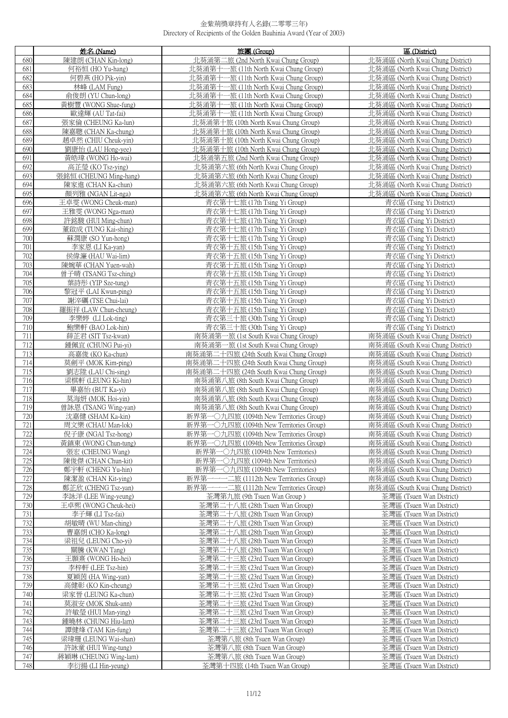|            | 姓名 (Name)                                   | 旅團 (Group)                                                   | 區 (District)                                       |
|------------|---------------------------------------------|--------------------------------------------------------------|----------------------------------------------------|
| 680        | 陳建朗 (CHAN Kin-long)                         | 北葵涌第二旅 (2nd North Kwai Chung Group)                          | 北葵涌區 (North Kwai Chung District)                   |
| 681        | 何裕恒 (HO Yu-hang)                            | 北葵涌第十一旅 (11th North Kwai Chung Group)                        | 北葵涌區 (North Kwai Chung District)                   |
| 682        | 何碧燕 (HO Pik-vin)                            | 北葵涌第十一旅 (11th North Kwai Chung Group)                        | 北葵涌區 (North Kwai Chung District)                   |
| 683        | 林峰 (LAM Fung)                               | 北葵涌第十一旅 (11th North Kwai Chung Group)                        | 北葵涌區 (North Kwai Chung District)                   |
| 684        | 俞俊朗 (YU Chun-long)                          | 北葵涌第十一旅 (11th North Kwai Chung Group)                        | 北葵涌區 (North Kwai Chung District)                   |
| 685        | 黃樹豐 (WONG Shue-fung)                        | 北葵涌第十一旅 (11th North Kwai Chung Group)                        |                                                    |
|            |                                             |                                                              | 北葵涌區 (North Kwai Chung District)                   |
| 686        | 歐達輝 (AU Tat-fai)                            | 北葵涌第十一旅 (11th North Kwai Chung Group)                        | 北葵涌區 (North Kwai Chung District)                   |
| 687        | 張家倫 (CHEUNG Ka-lun)                         | 北葵涌第十旅 (10th North Kwai Chung Group)                         | 北葵涌區 (North Kwai Chung District)                   |
| 688        | 陳嘉聰 (CHAN Ka-chung)                         | 北葵涌第十旅 (10th North Kwai Chung Group)                         | 北葵涌區 (North Kwai Chung District)                   |
| 689        | 趙卓然 (CHIU Cheuk-vin)                        | 北葵涌第十旅 (10th North Kwai Chung Group)                         | 北葵涌區 (North Kwai Chung District)                   |
| 690        | 劉康怡 (LAU Hong-yee)                          | 北葵涌第十旅 (10th North Kwai Chung Group)                         | 北葵涌區 (North Kwai Chung District)                   |
| 691        | 黃皓瑋 (WONG Ho-wai)                           | 北葵涌第五旅 (2nd North Kwai Chung Group)                          | 北葵涌區 (North Kwai Chung District)                   |
| 692        | 高芷瑩 (KO Tsz-ying)                           | 北葵涌第六旅 (6th North Kwai Chung Group)                          | 北葵涌區 (North Kwai Chung District)                   |
| 693        | 張銘恒 (CHEUNG Ming-hang)                      | 北葵涌第六旅 (6th North Kwai Chung Group)                          | 北葵涌區 (North Kwai Chung District)                   |
| 694        | 陳家進 (CHAN Ka-chun)                          | 北葵涌第六旅 (6th North Kwai Chung Group)                          | 北葵涌區 (North Kwai Chung District)                   |
| 695        | 顏列雅 (NGAN Lit-nga)                          | 北葵涌第六旅 (6th North Kwai Chung Group)                          | 北葵涌區 (North Kwai Chung District)                   |
| 696        | 王卓雯 (WONG Cheuk-man)                        | 青衣第十七旅 (17th Tsing Yi Group)                                 | 青衣區 (Tsing Yi District)                            |
| 697        | 王雅雯 (WONG Nga-man)                          | 青衣第十七旅 (17th Tsing Yi Group)                                 | 青衣區 (Tsing Yi District)                            |
| 698        | 許銘駿 (HUI Ming-chun)                         | 青衣第十七旅 (17th Tsing Yi Group)                                 | 青衣區 (Tsing Yi District)                            |
| 699        | 董啟成 (TUNG Kai-shing)                        | 青衣第十七旅 (17th Tsing Yi Group)                                 | 青衣區 (Tsing Yi District)                            |
| 700        | 蘇潤康 (SO Yun-hong)                           | 青衣第十七旅 (17th Tsing Yi Group)                                 | 青衣區 (Tsing Yi District)                            |
| 701        | 李家恩 (LI Ka-yan)                             | 青衣第十五旅 (15th Tsing Yi Group)                                 | 青衣區 (Tsing Yi District)                            |
| 702        | 侯偉濂 (HAU Wai-lim)                           | 青衣第十五旅 (15th Tsing Yi Group)                                 | 青衣區 (Tsing Yi District)                            |
| 703        | 陳婉華 (CHAN Yuen-wah)                         | 青衣第十五旅 (15th Tsing Yi Group)                                 | 青衣區 (Tsing Yi District)                            |
|            |                                             |                                                              |                                                    |
| 704<br>705 | 曾子晴 (TSANG Tsz-ching)<br>葉詩彤 (YIP Sze-tung) | 青衣第十五旅 (15th Tsing Yi Group)<br>青衣第十五旅 (15th Tsing Yi Group) | 青衣區 (Tsing Yi District)<br>青衣區 (Tsing Yi District) |
| 706        |                                             |                                                              |                                                    |
|            | 黎冠平 (LAI Kwun-ping)                         | 青衣第十五旅 (15th Tsing Yi Group)                                 | 青衣區 (Tsing Yi District)                            |
| 707        | 謝淬礪 (TSE Chui-lai)                          | 青衣第十五旅 (15th Tsing Yi Group)                                 | 青衣區 (Tsing Yi District)                            |
| 708        | 羅振祥 (LAW Chun-cheung)                       | 青衣第十五旅 (15th Tsing Yi Group)                                 | 青衣區 (Tsing Yi District)                            |
| 709        | 李樂婷 (LI Lok-ting)                           | 青衣第三十旅 (30th Tsing Yi Group)                                 | 青衣區 (Tsing Yi District)                            |
| 710        | 鮑樂軒 (BAO Lok-hin)                           | 青衣第三十旅 (30th Tsing Yi Group)                                 | 青衣區 (Tsing Yi District)                            |
| 711        | 薛芷君 (SIT Tsz-kwan)                          | 南葵涌第一旅 (1st South Kwai Chung Group)                          | 南葵涌區 (South Kwai Chung District)                   |
| 712        | 鍾佩宜 (CHUNG Pui-yi)                          | 南葵涌第一旅 (1st South Kwai Chung Group)                          | 南葵涌區 (South Kwai Chung District)                   |
| 713        | 高嘉俊 (KO Ka-chun)                            | 南葵涌第二十四旅 (24th South Kwai Chung Group)                       | 南葵涌區 (South Kwai Chung District)                   |
| 714        | 莫劍平 (MOK Kim-ping)                          | 南葵涌第二十四旅 (24th South Kwai Chung Group)                       | 南葵涌區 (South Kwai Chung District)                   |
| 715        | 劉志陞 (LAU Chi-sing)                          | 南葵涌第二十四旅 (24th South Kwai Chung Group)                       | 南葵涌區 (South Kwai Chung District)                   |
| 716        | 梁棋軒 (LEUNG Ki-hin)                          | 南葵涌第八旅 (8th South Kwai Chung Group)                          | 南葵涌區 (South Kwai Chung District)                   |
| 717        | 畢嘉怡 (BUT Ka-yi)                             | 南葵涌第八旅 (8th South Kwai Chung Group)                          | 南葵涌區 (South Kwai Chung District)                   |
| 718        | 莫海妍 (MOK Hoi-yin)                           | 南葵涌第八旅 (8th South Kwai Chung Group)                          | 南葵涌區 (South Kwai Chung District)                   |
| 719        | 曾詠恩 (TSANG Wing-yan)                        | 南葵涌第八旅 (8th South Kwai Chung Group)                          | 南葵涌區 (South Kwai Chung District)                   |
| 720        | 沈嘉健 (SHAM Ka-kin)                           | 新界第一〇九四旅 (1094th New Territories Group)                      | 南葵涌區 (South Kwai Chung District)                   |
| 721        | 周文樂 (CHAU Man-lok)                          | 新界第一〇九四旅 (1094th New Territories Group)                      | 南葵涌區 (South Kwai Chung District)                   |
| 722        | 倪子康 (NGAI Tsz-hong)                         | 新界第一〇九四旅 (1094th New Territories Group)                      | 南葵涌區 (South Kwai Chung District)                   |
| 723        | 黃鎮東 (WONG Chun-tung)                        | 新界第一〇九四旅 (1094th New Territories Group)                      | 南葵涌區 (South Kwai Chung District)                   |
| 724        | 張宏 (CHEUNG Wang)                            | 新界第一〇九四旅 (1094th New Territories)                            | 南葵涌區 (South Kwai Chung District)                   |
| 725        | 陳俊傑 (CHAN Chun-kit)                         | 新界第一〇九四旅 (1094th New Territories)                            | 南葵涌區 (South Kwai Chung District)                   |
| 726        | 鄭宇軒 (CHENG Yu-hin)                          | 新界第一〇九四旅 (1094th New Territories)                            | 南葵涌區 (South Kwai Chung District)                   |
| 727        | 陳潔盈 (CHAN Kit-ying)                         | 新界第-<br>——— 二旅 (1112th New Territories Group)                | 南葵涌區 (South Kwai Chung District)                   |
| 728        | 鄭芷欣 (CHENG Tsz-yan)                         | 新界第一一一二旅 (1112th New Territories Group)                      | 南葵涌區 (South Kwai Chung District)                   |
| 729        | 李詠洋 (LEE Wing-yeung)                        | 荃灣第九旅 (9th Tsuen Wan Group)                                  | 荃灣區 (Tsuen Wan District)                           |
| 730        | 王卓熙 (WONG Cheuk-hei)                        | 荃灣第二十八旅 (28th Tsuen Wan Group)                               | 荃灣區 (Tsuen Wan District)                           |
| 731        | 李子輝 (LI Tsz-fai)                            | 荃灣第二十八旅 (28th Tsuen Wan Group)                               | 荃灣區 (Tsuen Wan District)                           |
| 732        | 胡敏晴 (WU Man-ching)                          | 荃灣第二十八旅 (28th Tsuen Wan Group)                               | 荃灣區 (Tsuen Wan District)                           |
| 733        | 曹嘉朗 (CHO Ka-long)                           | 荃灣第二十八旅 (28th Tsuen Wan Group)                               | 荃灣區 (Tsuen Wan District)                           |
| 734        | 梁祖兒 (LEUNG Cho-yi)                          | 荃灣第二十八旅 (28th Tsuen Wan Group)                               | 荃灣區 (Tsuen Wan District)                           |
| 735        | 關騰 (KWAN Tang)                              | 荃灣第二十八旅 (28th Tsuen Wan Group)                               | 荃灣區 (Tsuen Wan District)                           |
| 736        | 王顥熹 (WONG Ho-hei)                           | 荃灣第二十三旅 (23rd Tsuen Wan Group)                               | 荃灣區 (Tsuen Wan District)                           |
| 737        | 李梓軒 (LEE Tsz-hin)                           | 荃灣第二十三旅 (23rd Tsuen Wan Group)                               | 荃灣區 (Tsuen Wan District)                           |
| 738        | 夏穎茵 (HA Wing-yan)                           | 荃灣第二十三旅 (23rd Tsuen Wan Group)                               | 荃灣區 (Tsuen Wan District)                           |
| 739        | 高健彰 (KO Kin-cheung)                         | 荃灣第二十三旅 (23rd Tsuen Wan Group)                               | 荃灣區 (Tsuen Wan District)                           |
|            |                                             |                                                              |                                                    |
| 740        | 梁家晉 (LEUNG Ka-chun)                         | 荃灣第二十三旅 (23rd Tsuen Wan Group)                               | 荃灣區 (Tsuen Wan District)                           |
| 741        | 莫淑安 (MOK Shuk-ann)                          | 荃灣第二十三旅 (23rd Tsuen Wan Group)                               | 荃灣區 (Tsuen Wan District)                           |
| 742        | 許敏瑩 (HUI Man-ying)                          | 荃灣第二十三旅 (23rd Tsuen Wan Group)                               | 荃灣區 (Tsuen Wan District)                           |
| 743        | 鍾曉林 (CHUNG Hiu-lam)                         | 荃灣第二十三旅 (23rd Tsuen Wan Group)                               | 荃灣區 (Tsuen Wan District)                           |
| 744        | 譚健烽 (TAM Kin-fung)                          | 荃灣第二十三旅 (23rd Tsuen Wan Group)                               | 荃灣區 (Tsuen Wan District)                           |
| 745        | 梁瑋珊 (LEUNG Wai-shan)                        | 荃灣第八旅 (8th Tsuen Wan Group)                                  | 荃灣區 (Tsuen Wan District)                           |
| 746        | 許詠童 (HUI Wing-tung)                         | 荃灣第八旅 (8th Tsuen Wan Group)                                  | 荃灣區 (Tsuen Wan District)                           |
| 747        | 蔣穎琳 (CHEUNG Wing-lam)                       | 荃灣第八旅 (8th Tsuen Wan Group)                                  | 荃灣區 (Tsuen Wan District)                           |
| 748        | 李衍揚 (LI Hin-yeung)                          | 荃灣第十四旅 (14th Tsuen Wan Group)                                | 荃灣區 (Tsuen Wan District)                           |